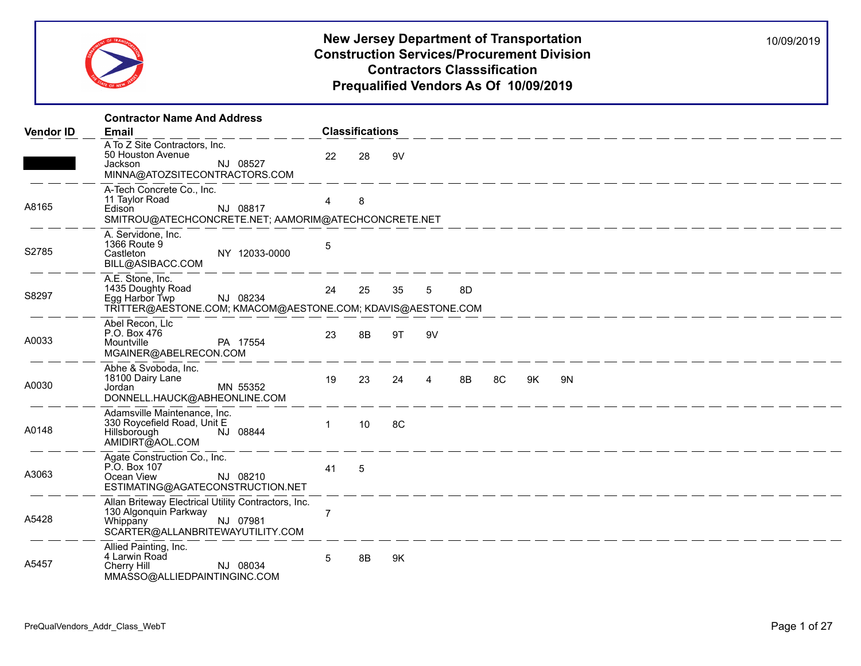

|                  | <b>Contractor Name And Address</b>                                                                                                       |                |                        |    |                |    |    |    |                                                                                                                                                                                                                                      |  |
|------------------|------------------------------------------------------------------------------------------------------------------------------------------|----------------|------------------------|----|----------------|----|----|----|--------------------------------------------------------------------------------------------------------------------------------------------------------------------------------------------------------------------------------------|--|
| <b>Vendor ID</b> | <b>Email</b>                                                                                                                             |                | <b>Classifications</b> |    |                |    |    |    |                                                                                                                                                                                                                                      |  |
|                  | A To Z Site Contractors, Inc.<br>50 Houston Avenue<br>NJ 08527<br>Jackson<br>MINNA@ATOZSITECONTRACTORS.COM                               | 22             | 28                     | 9V |                |    |    |    |                                                                                                                                                                                                                                      |  |
| A8165            | A-Tech Concrete Co., Inc.<br>11 Taylor Road<br>NJ 08817<br>Edison<br>SMITROU@ATECHCONCRETE.NET; AAMORIM@ATECHCONCRETE.NET                | $\overline{4}$ | 8                      |    |                |    |    |    |                                                                                                                                                                                                                                      |  |
| S2785            | A. Servidone, Inc.<br>1366 Route 9<br>NY 12033-0000<br>Castleton<br>BILL@ASIBACC.COM                                                     | 5              |                        |    |                |    |    |    |                                                                                                                                                                                                                                      |  |
| S8297            | A.E. Stone, Inc.<br>1435 Doughty Road<br>NJ 08234<br>Egg Harbor Twp<br>TRITTER@AESTONE.COM; KMACOM@AESTONE.COM; KDAVIS@AESTONE.COM       | 24             | 25                     | 35 | 5              | 8D |    |    |                                                                                                                                                                                                                                      |  |
| A0033            | Abel Recon, Llc<br>P.O. Box 476<br>PA 17554<br>Mountville<br>MGAINER@ABELRECON.COM                                                       | 23             | 8B                     | 9T | 9V             |    |    |    |                                                                                                                                                                                                                                      |  |
| A0030            | Abhe & Svoboda, Inc.<br>18100 Dairy Lane<br>MN 55352<br>Jordan<br>DONNELL.HAUCK@ABHEONLINE.COM                                           | 19             | 23                     | 24 | $\overline{4}$ | 8B | 8C | 9K | 9N                                                                                                                                                                                                                                   |  |
| A0148            | Adamsville Maintenance, Inc.<br>330 Roycefield Road, Unit E<br>NJ 08844<br>Hillsborough<br>AMIDIRT@AOL.COM                               | $\mathbf{1}$   | 10                     | 8C |                |    |    |    |                                                                                                                                                                                                                                      |  |
| A3063            | Agate Construction Co., Inc.<br>P.O. Box 107<br>Ocean View<br>NJ 08210<br>ESTIMATING@AGATECONSTRUCTION.NET                               | 41             | $-5$                   |    |                |    |    |    | <u> 1990 - John Stein, markin sammann ann an 1991 - De Brennen ann an 1991 - De Brennen ann an 1991 - De Brennen ann an 1991 - De Brennen ann an 1991 - De Brennen ann an 1991 - De Brennen ann an 1991 - Brennen ann an 1991 - </u> |  |
| A5428            | Allan Briteway Electrical Utility Contractors, Inc.<br>130 Algonquin Parkway<br>NJ 07981<br>Whippany<br>SCARTER@ALLANBRITEWAYUTILITY.COM | $\overline{7}$ |                        |    |                |    |    |    |                                                                                                                                                                                                                                      |  |
| A5457            | Allied Painting, Inc.<br>4 Larwin Road<br>Cherry Hill<br>NJ 08034<br>MMASSO@ALLIEDPAINTINGINC.COM                                        | 5              | 8B                     | 9K |                |    |    |    |                                                                                                                                                                                                                                      |  |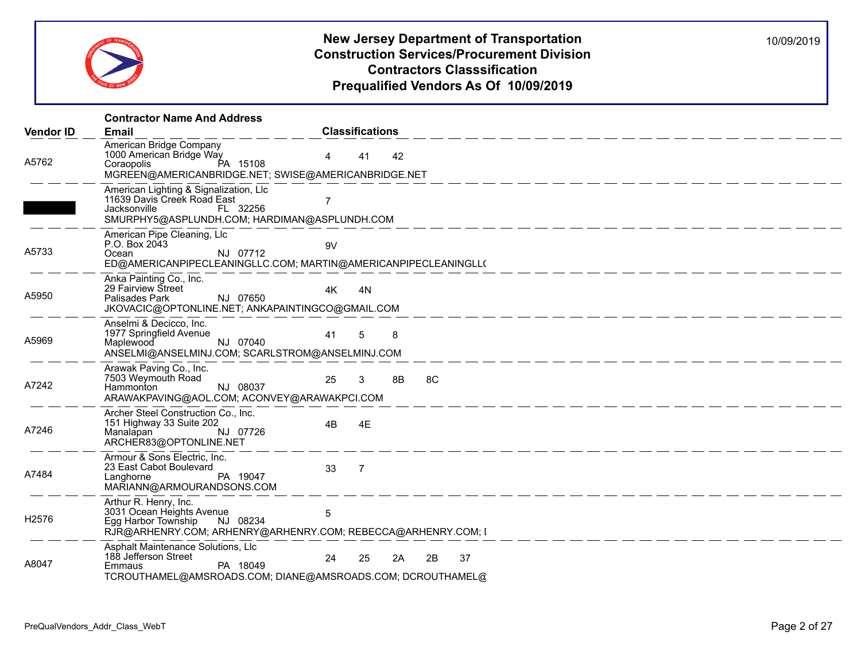

|                   | <b>Contractor Name And Address</b>                                                                                                                    |                            |
|-------------------|-------------------------------------------------------------------------------------------------------------------------------------------------------|----------------------------|
| <b>Vendor ID</b>  | Email                                                                                                                                                 | <b>Classifications</b>     |
| A5762             | American Bridge Company<br>1000 American Bridge Way<br>PA 15108<br>Coraopolis<br>MGREEN@AMERICANBRIDGE.NET; SWISE@AMERICANBRIDGE.NET                  | 42<br>41                   |
|                   | American Lighting & Signalization, Llc<br>11639 Davis Creek Road East<br>Jacksonville<br>FL 32256<br>SMURPHY5@ASPLUNDH.COM; HARDIMAN@ASPLUNDH.COM     |                            |
| A5733             | American Pipe Cleaning, Llc<br>P.O. Box 2043<br>NJ 07712<br>Ocean<br>ED@AMERICANPIPECLEANINGLLC.COM; MARTIN@AMERICANPIPECLEANINGLL(                   | 9V                         |
| A5950             | Anka Painting Co., Inc.<br>29 Fairview Street<br>Palisades Park<br>NJ 07650<br>JKOVACIC@OPTONLINE.NET; ANKAPAINTINGCO@GMAIL.COM                       | 4K<br>4N<br>$         -$   |
| A5969             | Anselmi & Decicco, Inc.<br>1977 Springfield Avenue<br>Maplewood<br>NJ 07040<br>ANSELMI@ANSELMINJ.COM; SCARLSTROM@ANSELMINJ.COM                        | 41<br>5<br>8               |
| A7242             | Arawak Paving Co., Inc.<br>7503 Weymouth Road<br>NJ 08037<br>Hammonton<br>ARAWAKPAVING@AOL.COM; ACONVEY@ARAWAKPCI.COM                                 | 8C<br>8B<br>25<br>3        |
| A7246             | Archer Steel Construction Co., Inc.<br>151 Highway 33 Suite 202<br>Manalapan<br>NJ 07726<br>ARCHER83@OPTONLINE.NET                                    | 4B<br>4E                   |
| A7484             | Armour & Sons Electric, Inc.<br>23 East Cabot Boulevard<br>PA 19047<br>Langhorne<br>MARIANN@ARMOURANDSONS.COM                                         | 33<br>$\overline{7}$       |
| H <sub>2576</sub> | Arthur R. Henry, Inc.<br>3031 Ocean Heights Avenue<br>NJ 08234<br>Egg Harbor Township<br>RJR@ARHENRY.COM; ARHENRY@ARHENRY.COM; REBECCA@ARHENRY.COM; I | 5                          |
| A8047             | Asphalt Maintenance Solutions, Llc<br>188 Jefferson Street<br>PA 18049<br>Emmaus<br>TCROUTHAMEL@AMSROADS.COM; DIANE@AMSROADS.COM; DCROUTHAMEL@        | 24<br>37<br>25<br>2B<br>2A |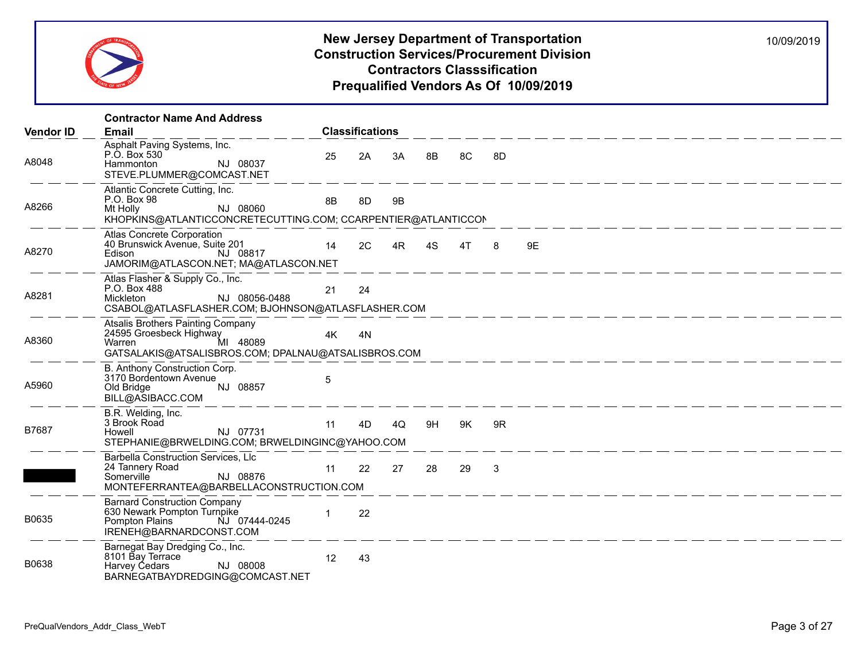

|                  | <b>Contractor Name And Address</b>                                                                                                           |    |                        |    |    |          |              |          |
|------------------|----------------------------------------------------------------------------------------------------------------------------------------------|----|------------------------|----|----|----------|--------------|----------|
| <b>Vendor ID</b> | <b>Email</b>                                                                                                                                 |    | <b>Classifications</b> |    |    |          |              |          |
| A8048            | Asphalt Paving Systems, Inc.<br>P.O. Box 530<br>NJ 08037<br>Hammonton<br>STEVE.PLUMMER@COMCAST.NET                                           | 25 | 2A                     | 3A | 8B | 8C       | 8D           |          |
| A8266            | Atlantic Concrete Cutting, Inc.<br>P.O. Box 98<br>NJ 08060<br>Mt Holly<br>KHOPKINS@ATLANTICCONCRETECUTTING.COM; CCARPENTIER@ATLANTICCON      | 8B | 8D                     | 9B |    |          |              |          |
| A8270            | Atlas Concrete Corporation<br>40 Brunswick Avenue, Suite 201<br>NJ 08817<br>Edison <b>Executive</b><br>JAMORIM@ATLASCON.NET; MA@ATLASCON.NET | 14 | 2C                     | 4R | 4S | 4T       | -8           | 9E       |
| A8281            | Atlas Flasher & Supply Co., Inc.<br>P.O. Box 488<br>NJ 08056-0488<br>Mickleton<br>CSABOL@ATLASFLASHER.COM; BJOHNSON@ATLASFLASHER.COM         | 21 | 24                     |    |    |          |              |          |
| A8360            | Atsalis Brothers Painting Company<br>24595 Groesbeck Highway<br>Warren MI 48089<br>GATSALAKIS@ATSALISBROS.COM; DPALNAU@ATSALISBROS.COM       | 4K | 4N                     |    |    |          |              |          |
| A5960            | B. Anthony Construction Corp.<br>3170 Bordentown Avenue<br>NJ 08857<br>Old Bridge<br>BILL@ASIBACC.COM                                        | 5  |                        |    |    |          |              | $     -$ |
| B7687            | B.R. Welding, Inc.<br>3 Brook Road<br>NJ 07731<br>Howell<br>STEPHANIE@BRWELDING.COM; BRWELDINGINC@YAHOO.COM                                  | 11 | 4D                     |    |    | 4Q 9H 9K | 9R           |          |
|                  | Barbella Construction Services, Llc<br>24 Tannery Road<br>Somerville<br>NJ 08876<br>MONTEFERRANTEA@BARBELLACONSTRUCTION.COM                  | 11 | 22                     | 27 | 28 | 29       | $\mathbf{3}$ |          |
| B0635            | <b>Barnard Construction Company</b><br>630 Newark Pompton Turnpike<br>NJ 07444-0245<br>Pompton Plains<br>IRENEH@BARNARDCONST.COM             |    | 22                     |    |    |          |              |          |
| B0638            | Barnegat Bay Dredging Co., Inc.<br>8101 Bay Terrace<br>NJ 08008<br>Harvey Cedars<br>BARNEGATBAYDREDGING@COMCAST.NET                          | 12 | 43                     |    |    |          |              |          |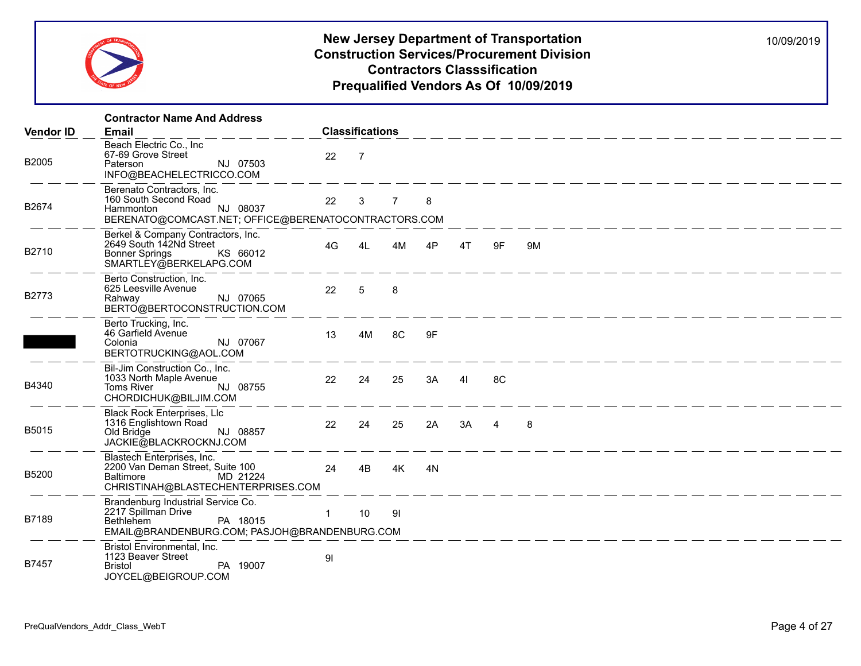

|                  | <b>Contractor Name And Address</b>                                                                                                         |              |                        |                |    |      |    |    |
|------------------|--------------------------------------------------------------------------------------------------------------------------------------------|--------------|------------------------|----------------|----|------|----|----|
| <b>Vendor ID</b> | <b>Email</b>                                                                                                                               |              | <b>Classifications</b> |                |    |      |    |    |
| B2005            | Beach Electric Co., Inc<br>67-69 Grove Street<br>NJ 07503<br>Paterson<br>INFO@BEACHELECTRICCO.COM                                          | 22           | $\overline{7}$         |                |    |      |    |    |
| B2674            | Berenato Contractors, Inc.<br>160 South Second Road<br>NJ 08037<br>Hammonton<br>BERENATO@COMCAST.NET; OFFICE@BERENATOCONTRACTORS.COM       | 22           | $\mathbf{3}$           | $\overline{7}$ | 8  |      |    |    |
| B2710            | Berkel & Company Contractors, Inc.<br>2649 South 142Nd Street<br>KS 66012<br><b>Bonner Springs</b><br>SMARTLEY@BERKELAPG.COM               | 4G           | 4L                     | 4M             | 4P | 4T   | 9F | 9M |
| B2773            | Berto Construction, Inc.<br>625 Leesville Avenue<br>NJ 07065<br>Rahwav<br>BERTO@BERTOCONSTRUCTION.COM                                      | 22           | 5                      | 8              |    |      |    |    |
|                  | Berto Trucking, Inc.<br>46 Garfield Avenue<br>NJ 07067<br>Colonia<br>BERTOTRUCKING@AOL.COM                                                 | 13           | 4M                     | $-8C$          | 9F |      |    |    |
| B4340            | Bil-Jim Construction Co., Inc.<br>1033 North Maple Avenue<br>NJ 08755<br>Toms River<br>CHORDICHUK@BILJIM.COM                               | 22           | 24                     | 25             | 3A | 41   | 8C |    |
| B5015            | <b>Black Rock Enterprises, Llc</b><br>1316 Englishtown Road<br>Old Bridge<br>NJ 08857<br>JACKIE@BLACKROCKNJ.COM                            | 22           | 24                     | 25             | 2A | 3A 4 |    | 8  |
| B5200            | Blastech Enterprises, Inc.<br>2200 Van Deman Street, Suite 100<br>Baltimore MD 21224<br>CHRISTINAH@BLASTECHENTERPRISES.COM                 | 24           | 4B                     | 4K             | 4N |      |    |    |
| B7189            | Brandenburg Industrial Service Co.<br>2217 Spillman Drive<br>PA 18015<br><b>Bethlehem</b><br>EMAIL@BRANDENBURG.COM; PASJOH@BRANDENBURG.COM | $\mathbf{1}$ | 10                     | 91             |    |      |    |    |
| B7457            | Bristol Environmental, Inc.<br>1123 Beaver Street<br>PA 19007<br><b>Bristol</b><br>JOYCEL@BEIGROUP.COM                                     | 91           |                        |                |    |      |    |    |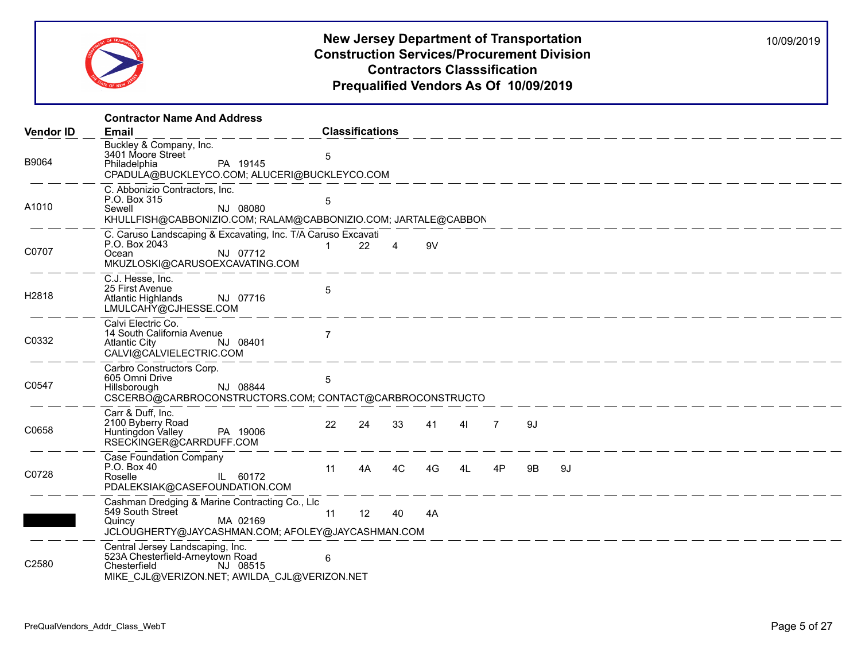

|                  | <b>Contractor Name And Address</b>                                                                                                               |                        |    |    |    |                |           |    |
|------------------|--------------------------------------------------------------------------------------------------------------------------------------------------|------------------------|----|----|----|----------------|-----------|----|
| <b>Vendor ID</b> | <b>Email</b>                                                                                                                                     | <b>Classifications</b> |    |    |    |                |           |    |
| B9064            | Buckley & Company, Inc.<br>3401 Moore Street<br>PA 19145<br>Philadelphia<br>CPADULA@BUCKLEYCO.COM; ALUCERI@BUCKLEYCO.COM                         | 5                      |    |    |    |                |           |    |
| A1010            | C. Abbonizio Contractors, Inc.<br>P.O. Box 315<br>NJ 08080<br>Sewell<br>KHULLFISH@CABBONIZIO.COM; RALAM@CABBONIZIO.COM; JARTALE@CABBON           | 5                      |    |    |    |                |           |    |
| C0707            | C. Caruso Landscaping & Excavating, Inc. T/A Caruso Excavati<br>P.O. Box 2043<br>NJ 07712<br>Ocean<br>MKUZLOSKI@CARUSOEXCAVATING.COM             | 22                     |    | 9V |    |                |           |    |
| H2818            | C.J. Hesse, Inc.<br>25 First Avenue<br>NJ 07716<br><b>Atlantic Highlands</b><br>LMULCAHY@CJHESSE.COM                                             | 5                      |    |    |    |                |           |    |
| C0332            | Calvi Electric Co.<br>14 South California Avenue<br>NJ 08401<br><b>Atlantic City</b><br>CALVI@CALVIELECTRIC.COM                                  | $\overline{7}$         |    |    |    |                |           |    |
| C0547            | Carbro Constructors Corp.<br>605 Omni Drive<br>NJ 08844<br>Hillsborough<br>CSCERBO@CARBROCONSTRUCTORS.COM; CONTACT@CARBROCONSTRUCTO              | 5                      |    |    |    |                |           |    |
| C0658            | Carr & Duff, Inc.<br>2100 Byberry Road<br>PA 19006<br>Huntingdon Valley<br>RSECKINGER@CARRDUFF.COM                                               | 22<br>24               | 33 | 41 | 41 | $\overline{7}$ | 9J        |    |
| C0728            | <b>Case Foundation Company</b><br>P.O. Box 40<br>IL 60172<br>Roselle<br>PDALEKSIAK@CASEFOUNDATION.COM                                            | 11<br>4A               | 4C | 4G | 41 | 4P             | <b>9B</b> | 9J |
|                  | Cashman Dredging & Marine Contracting Co., Llc<br>549 South Street<br>MA 02169<br>Quincy<br>JCLOUGHERTY@JAYCASHMAN.COM; AFOLEY@JAYCASHMAN.COM    | 12<br>11               | 40 | 4A |    |                |           |    |
| C2580            | Central Jersey Landscaping, Inc.<br>523A Chesterfield-Arneytown Road<br>Chesterfield<br>NJ 08515<br>MIKE CJL@VERIZON.NET; AWILDA CJL@VERIZON.NET | 6                      |    |    |    |                |           |    |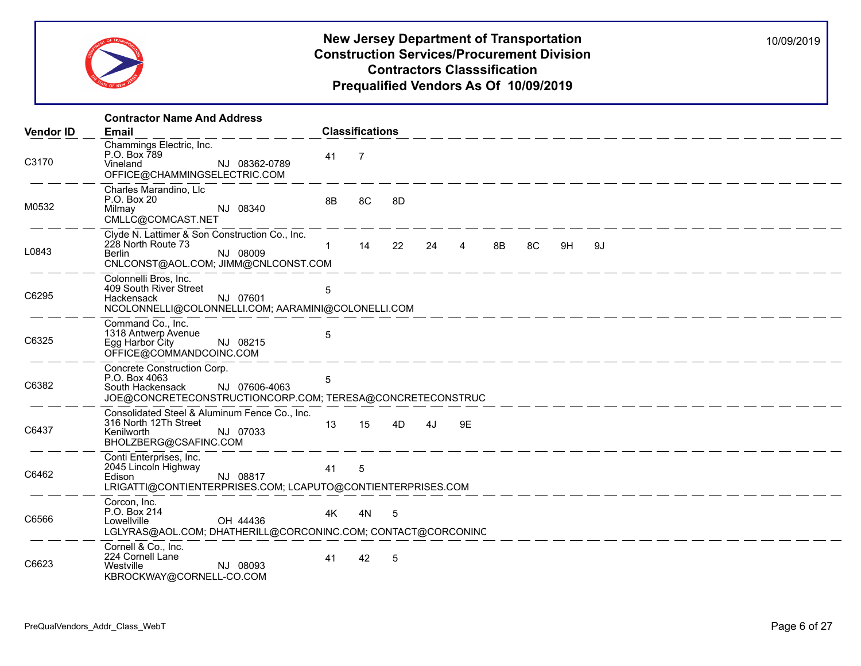

|                  | <b>Contractor Name And Address</b>                                                                                                             |              |                        |    |    |    |    |    |    |      |  |  |  |
|------------------|------------------------------------------------------------------------------------------------------------------------------------------------|--------------|------------------------|----|----|----|----|----|----|------|--|--|--|
| <b>Vendor ID</b> | <b>Email</b>                                                                                                                                   |              | <b>Classifications</b> |    |    |    |    |    |    |      |  |  |  |
| C3170            | Chammings Electric, Inc.<br>P.O. Box 789<br>Vineland<br>NJ 08362-0789<br>OFFICE@CHAMMINGSELECTRIC.COM                                          | 41           | $\overline{7}$         |    |    |    |    |    |    |      |  |  |  |
| M0532            | Charles Marandino, Llc<br>P.O. Box 20<br>NJ 08340<br>Milmay<br>CMLLC@COMCAST.NET                                                               | 8B           | 8C                     | 8D |    |    |    |    |    |      |  |  |  |
| L0843            | Clyde N. Lattimer & Son Construction Co., Inc.<br>228 North Route 73<br>NJ 08009<br><b>Berlin</b><br>CNLCONST@AOL.COM; JIMM@CNLCONST.COM       | $\mathbf{1}$ | 14                     | 22 | 24 | 4  | 8B | 8C | 9H | - 9J |  |  |  |
| C6295            | Colonnelli Bros, Inc.<br>409 South River Street<br>NJ 07601<br>Hackensack<br>NCOLONNELLI@COLONNELLI.COM; AARAMINI@COLONELLI.COM                | 5            |                        |    |    |    |    |    |    |      |  |  |  |
| C6325            | Command Co., Inc.<br>1318 Antwerp Avenue<br>NJ 08215<br>Egg Harbor City<br>OFFICE@COMMANDCOINC.COM                                             | 5            |                        |    |    |    |    |    |    |      |  |  |  |
| C6382            | Concrete Construction Corp.<br>P.O. Box 4063<br>NJ 07606-4063<br>South Hackensack<br>JOE@CONCRETECONSTRUCTIONCORP.COM; TERESA@CONCRETECONSTRUC | 5            |                        |    |    |    |    |    |    |      |  |  |  |
| C6437            | Consolidated Steel & Aluminum Fence Co., Inc.<br>316 North 12Th Street<br>NJ 07033<br>Kenilworth<br>BHOLZBERG@CSAFINC.COM                      | 13           | 15                     | 4D | 4J | 9E |    |    |    |      |  |  |  |
| C6462            | Conti Enterprises, Inc.<br>2045 Lincoln Highway<br>NJ 08817<br>Edison<br>LRIGATTI@CONTIENTERPRISES.COM; LCAPUTO@CONTIENTERPRISES.COM           | 41           | 5                      |    |    |    |    |    |    |      |  |  |  |
| C6566            | Corcon, Inc.<br>P.O. Box 214<br>OH 44436<br>Lowellville<br>LGLYRAS@AOL.COM; DHATHERILL@CORCONINC.COM; CONTACT@CORCONINC                        | 4K           | 4N                     | 5  |    |    |    |    |    |      |  |  |  |
| C6623            | Cornell & Co., Inc.<br>224 Cornell Lane<br>Westville<br>NJ 08093<br>KBROCKWAY@CORNELL-CO.COM                                                   | 41           | 42                     | 5  |    |    |    |    |    |      |  |  |  |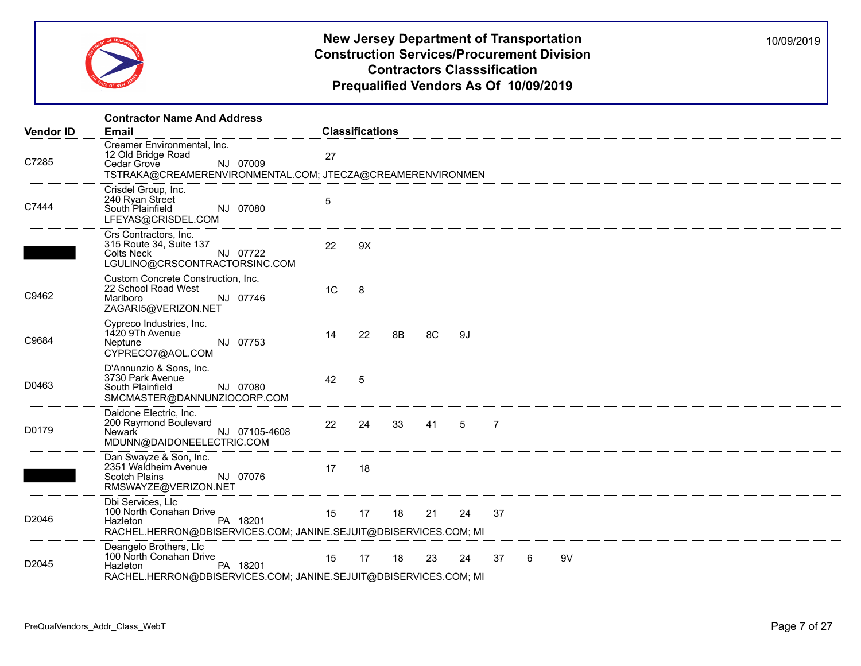

|                  | <b>Contractor Name And Address</b>                                                                                                              |                |                        |          |              |    |   |    |                                                                                           |  |
|------------------|-------------------------------------------------------------------------------------------------------------------------------------------------|----------------|------------------------|----------|--------------|----|---|----|-------------------------------------------------------------------------------------------|--|
| <b>Vendor ID</b> | <b>Email</b>                                                                                                                                    |                | <b>Classifications</b> |          |              |    |   |    |                                                                                           |  |
| C7285            | Creamer Environmental, Inc.<br>12 Old Bridge Road<br>NJ 07009<br>Cedar Grove<br>TSTRAKA@CREAMERENVIRONMENTAL.COM; JTECZA@CREAMERENVIRONMEN      | 27             |                        |          |              |    |   |    |                                                                                           |  |
| C7444            | Crisdel Group, Inc.<br>240 Ryan Street<br>South Plainfield<br>NJ 07080<br>LFEYAS@CRISDEL.COM                                                    | $\overline{5}$ |                        |          |              |    |   |    | المساحسة المساحسة المساحسة المساحسة المساحسة المساحسة المساحسة المساحسة المساحسة المساحسة |  |
|                  | Crs Contractors, Inc.<br>315 Route 34, Suite 137<br>Colts Neck <b>Coltains</b><br>NJ 07722<br>LGULINO@CRSCONTRACTORSINC.COM                     | 22             | 9X                     |          |              |    |   |    |                                                                                           |  |
| C9462            | Custom Concrete Construction, Inc.<br>22 School Road West<br>NJ 07746<br>Marlboro<br>ZAGARI5@VERIZON.NET                                        | 1 <sup>C</sup> | 8                      |          |              |    |   |    |                                                                                           |  |
| C9684            | Cypreco Industries, Inc.<br>1420 9Th Avenue<br>NJ 07753<br>Neptune<br>CYPRECO7@AOL.COM                                                          | 14             | 22                     | 8B 8C 9J |              |    |   |    |                                                                                           |  |
| D0463            | D'Annunzio & Sons, Inc.<br>3730 Park Avenue<br>NJ 07080<br>South Plainfield<br>SMCMASTER@DANNUNZIOCORP.COM                                      | 42             | 5                      |          |              |    |   |    |                                                                                           |  |
| D0179            | Daidone Electric, Inc.<br>200 Raymond Boulevard<br>NJ 07105-4608<br>Newark<br>MDUNN@DAIDONEELECTRIC.COM                                         | 22             |                        |          | 24 33 41 5 7 |    |   |    |                                                                                           |  |
|                  | Dan Swayze & Son, Inc.<br>2351 Waldheim Avenue<br>Scotch Plains NJ 07076<br>RMSWAYZE@VERIZON.NET                                                | 17             | 18                     |          |              |    |   |    |                                                                                           |  |
| D2046            | Dbi Services, Llc<br>100 North Conahan Drive<br><b>PA 18201</b><br>Hazleton<br>RACHEL.HERRON@DBISERVICES.COM; JANINE.SEJUIT@DBISERVICES.COM; MI | 15             | 17                     | 18 21    | 24           | 37 |   |    |                                                                                           |  |
| D2045            | Deangelo Brothers, Llc<br>Deangelo Brouncie, Filippe PA 18201<br>RACHEL.HERRON@DBISERVICES.COM; JANINE.SEJUIT@DBISERVICES.COM; MI               |                | 15 17 18               |          | 23 24        | 37 | 6 | 9V |                                                                                           |  |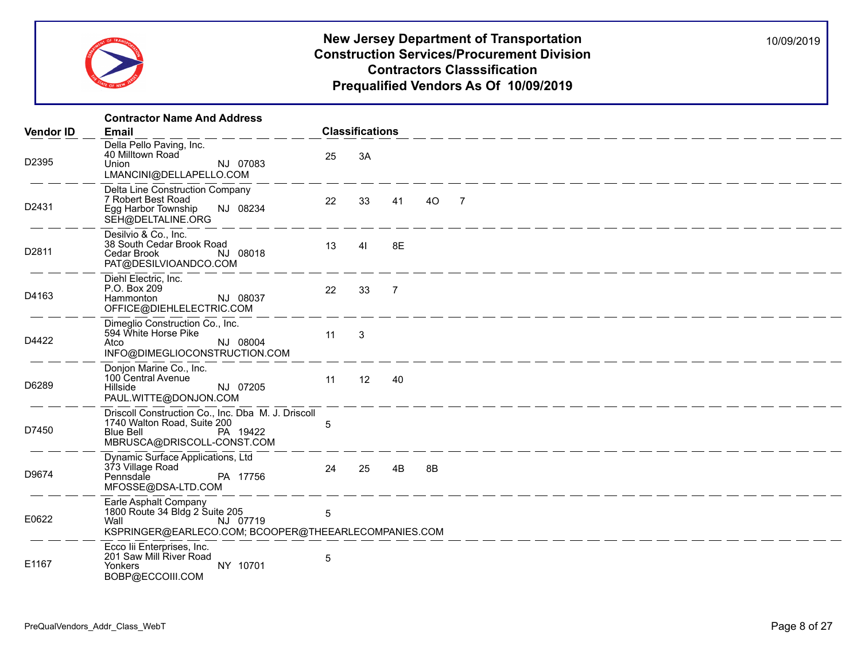

|                  | <b>Contractor Name And Address</b>                                                                                                              |            |                         |                |    |                                                                        |
|------------------|-------------------------------------------------------------------------------------------------------------------------------------------------|------------|-------------------------|----------------|----|------------------------------------------------------------------------|
| <b>Vendor ID</b> | <b>Email</b>                                                                                                                                    |            | <b>Classifications</b>  |                |    |                                                                        |
| D2395            | Della Pello Paving, Inc.<br>40 Milltown Road<br>NJ 07083<br>Union<br>LMANCINI@DELLAPELLO.COM                                                    | 25         | 3A                      |                |    |                                                                        |
| D2431            | Delta Line Construction Company<br>7 Robert Best Road<br>Egg Harbor Township<br>NJ 08234<br>SEH@DELTALINE.ORG                                   | 22         | 33                      | 41             | 40 | $\overline{7}$                                                         |
| D2811            | Desilvio & Co., Inc.<br>38 South Cedar Brook Road<br>Cedar Brook<br>NJ 08018<br>PAT@DESILVIOANDCO.COM                                           | 13         | 41                      | 8E             |    |                                                                        |
| D4163            | Diehl Electric, Inc.<br>P.O. Box 209<br>NJ 08037<br>Hammonton<br>OFFICE@DIEHLELECTRIC.COM                                                       | 22         | 33                      | $\overline{7}$ |    | <u> 1990 - An An Aon an Aon an Aon an Aon an Aon an Aon an Aon an </u> |
| D4422            | Dimeglio Construction Co., Inc.<br>594 White Horse Pike<br>NJ 08004<br>Atco<br>INFO@DIMEGLIOCONSTRUCTION.COM                                    | 11         | $\overline{\mathbf{3}}$ |                |    |                                                                        |
| D6289            | Donjon Marine Co., Inc.<br>100 Central Avenue<br>NJ 07205<br>Hillside<br>PAUL.WITTE@DONJON.COM                                                  | 11         | 12                      | 40             |    |                                                                        |
| D7450            | Driscoll Construction Co., Inc. Dba M. J. Driscoll<br>1740 Walton Road, Suite 200<br><b>Blue Bell</b><br>PA 19422<br>MBRUSCA@DRISCOLL-CONST.COM | 5          |                         |                |    |                                                                        |
| D9674            | Dynamic Surface Applications, Ltd<br>373 Village Road<br>Pennsdale<br>PA 17756<br>MFOSSE@DSA-LTD.COM                                            | 24         | 25                      | 4B             | 8B |                                                                        |
| E0622            | Earle Asphalt Company<br>1800 Route 34 Bldg 2 Suite 205<br>Wall<br>NJ 07719<br>KSPRINGER@EARLECO.COM; BCOOPER@THEEARLECOMPANIES.COM             | $\sqrt{5}$ |                         |                |    |                                                                        |
| E1167            | Ecco lii Enterprises, Inc.<br>201 Saw Mill River Road<br>Yonkers<br>NY 10701<br>BOBP@ECCOIII.COM                                                | 5          |                         |                |    |                                                                        |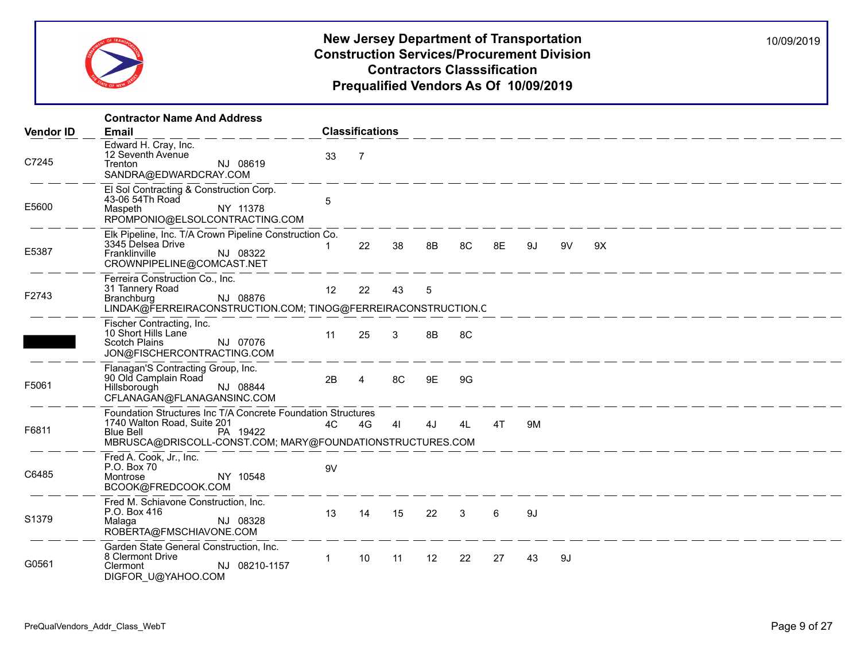

|                  | <b>Contractor Name And Address</b>                                                                                                                                                |              |                        |              |                 |    |    |    |    |    |
|------------------|-----------------------------------------------------------------------------------------------------------------------------------------------------------------------------------|--------------|------------------------|--------------|-----------------|----|----|----|----|----|
| <b>Vendor ID</b> | <b>Email</b>                                                                                                                                                                      |              | <b>Classifications</b> |              |                 |    |    |    |    |    |
| C7245            | Edward H. Cray, Inc.<br>12 Seventh Avenue<br>NJ 08619<br>Trenton<br>SANDRA@EDWARDCRAY.COM                                                                                         | 33           | $\overline{7}$         |              |                 |    |    |    |    |    |
| E5600            | El Sol Contracting & Construction Corp.<br>43-06 54Th Road<br>NY 11378<br>Maspeth<br>RPOMPONIO@ELSOLCONTRACTING.COM                                                               | 5            |                        |              |                 |    |    |    |    |    |
| E5387            | Elk Pipeline, Inc. T/A Crown Pipeline Construction Co.<br>3345 Delsea Drive<br>NJ 08322<br>Franklinville<br>CROWNPIPELINE@COMCAST.NET                                             |              | 22                     | 38           | 8B              | 8C | 8E | 9J | 9V | 9X |
| F2743            | Ferreira Construction Co., Inc.<br>31 Tannery Road<br>NJ 08876<br>Branchburg<br>LINDAK@FERREIRACONSTRUCTION.COM; TINOG@FERREIRACONSTRUCTION.C                                     | 12           | 22                     | 43           | 5               |    |    |    |    |    |
|                  | Fischer Contracting, Inc.<br>10 Short Hills Lane<br><b>Scotch Plains</b><br>NJ 07076<br>JON@FISCHERCONTRACTING.COM                                                                | 11           | 25                     | $\mathbf{3}$ | 8B              | 8C |    |    |    |    |
| F5061            | Flanagan'S Contracting Group, Inc.<br>90 Old Camplain Road<br>NJ 08844<br>Hillsborough<br>CFLANAGAN@FLANAGANSINC.COM                                                              | 2B           | 4                      | 8C           | 9E              | 9G |    |    |    |    |
| F6811            | Foundation Structures Inc T/A Concrete Foundation Structures<br>1740 Walton Road, Suite 201<br>Blue Bell<br>PA 19422<br>MBRUSCA@DRISCOLL-CONST.COM; MARY@FOUNDATIONSTRUCTURES.COM | 4C           | 4G                     | 41           | 4J              | 4L | 4T | 9M |    |    |
| C6485            | Fred A. Cook, Jr., Inc.<br>P.O. Box 70<br>NY 10548<br>Montrose<br>BCOOK@FREDCOOK.COM                                                                                              | 9V           |                        |              |                 |    |    |    |    |    |
| S1379            | Fred M. Schiavone Construction, Inc.<br>P.O. Box 416<br>NJ 08328<br>Malaga<br>ROBERTA@FMSCHIAVONE.COM                                                                             | 13           | 14                     | 15           | 22 3            |    | 6  | 9J |    |    |
| G0561            | Garden State General Construction, Inc.<br>8 Clermont Drive<br>NJ 08210-1157<br>Clermont<br>DIGFOR_U@YAHOO.COM                                                                    | $\mathbf{1}$ | 10                     | 11           | 12 <sup>2</sup> | 22 | 27 | 43 | 9J |    |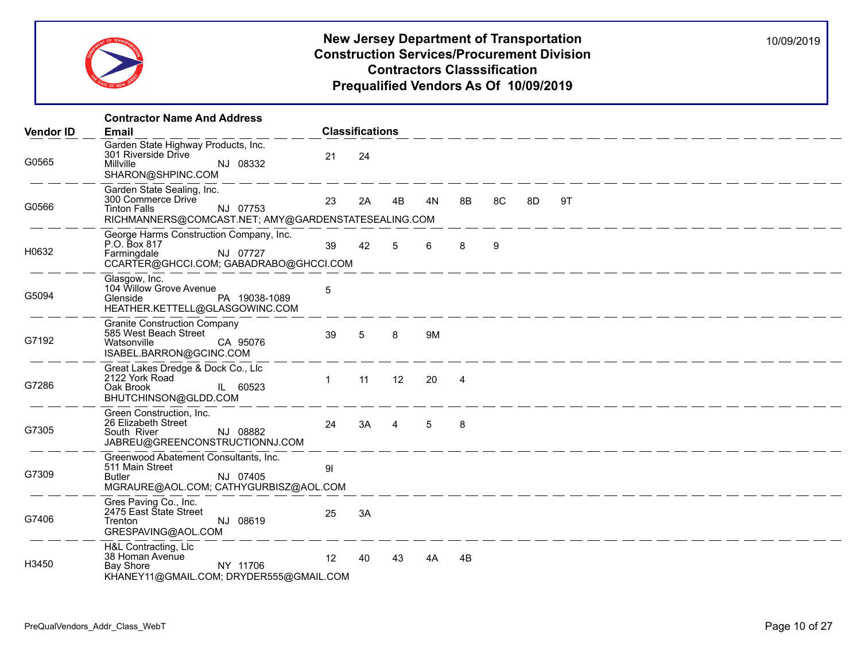

|                  | <b>Contractor Name And Address</b>                                                                                                         |                        |    |                |    |                |    |    |                                                                      |  |  |  |  |
|------------------|--------------------------------------------------------------------------------------------------------------------------------------------|------------------------|----|----------------|----|----------------|----|----|----------------------------------------------------------------------|--|--|--|--|
| <b>Vendor ID</b> | <b>Email</b>                                                                                                                               | <b>Classifications</b> |    |                |    |                |    |    |                                                                      |  |  |  |  |
| G0565            | Garden State Highway Products, Inc.<br>301 Riverside Drive<br>Millville<br>NJ 08332<br>SHARON@SHPINC.COM                                   | 21                     | 24 |                |    |                |    |    |                                                                      |  |  |  |  |
| G0566            | Garden State Sealing, Inc.<br>300 Commerce Drive<br><b>Tinton Falls</b><br>NJ 07753<br>RICHMANNERS@COMCAST.NET; AMY@GARDENSTATESEALING.COM | 23                     | 2A | 4B             | 4N | 8B             | 8C | 8D | 9T                                                                   |  |  |  |  |
| H0632            | George Harms Construction Company, Inc.<br>P.O. Box 817<br>NJ 07727<br>Farmingdale<br>CCARTER@GHCCI.COM; GABADRABO@GHCCI.COM               | 39                     | 42 | 5              | 6  | 8              | 9  |    |                                                                      |  |  |  |  |
| G5094            | Glasgow, Inc.<br>104 Willow Grove Avenue<br>PA 19038-1089<br>Glenside<br>HEATHER.KETTELL@GLASGOWINC.COM                                    | 5                      |    |                |    |                |    |    |                                                                      |  |  |  |  |
| G7192            | <b>Granite Construction Company</b><br>585 West Beach Street<br>CA 95076<br>Watsonville<br>ISABEL.BARRON@GCINC.COM                         | 39                     | 5  | 8              | 9M |                |    |    | <u>. 2001 - 2002 - 2002 - 2002 - 2002 - 2002 - 2002 - 2002 - 200</u> |  |  |  |  |
| G7286            | Great Lakes Dredge & Dock Co., Llc<br>2122 York Road<br>IL 60523<br>Oak Brook<br>BHUTCHINSON@GLDD.COM                                      | $\mathbf{1}$           | 11 | 12             | 20 | $\overline{4}$ |    |    |                                                                      |  |  |  |  |
| G7305            | Green Construction, Inc.<br>26 Elizabeth Street<br>South River<br>NJ 08882<br>JABREU@GREENCONSTRUCTIONNJ.COM                               | 24                     | 3A | $\overline{4}$ | 5  | 8              |    |    |                                                                      |  |  |  |  |
| G7309            | Greenwood Abatement Consultants, Inc.<br>511 Main Street<br>NJ 07405<br><b>Butler</b><br>MGRAURE@AOL.COM; CATHYGURBISZ@AOL.COM             | 91                     |    |                |    |                |    |    |                                                                      |  |  |  |  |
| G7406            | Gres Paving Co., Inc.<br>2475 East State Street<br>Trenton<br>NJ 08619<br>GRESPAVING@AOL.COM                                               | 25                     | 3A |                |    |                |    |    |                                                                      |  |  |  |  |
| H3450            | H&L Contracting, Llc<br>38 Homan Avenue<br>NY 11706<br>Bay Shore<br>KHANEY11@GMAIL.COM; DRYDER555@GMAIL.COM                                | 12                     | 40 | 43             | 4A | 4B             |    |    |                                                                      |  |  |  |  |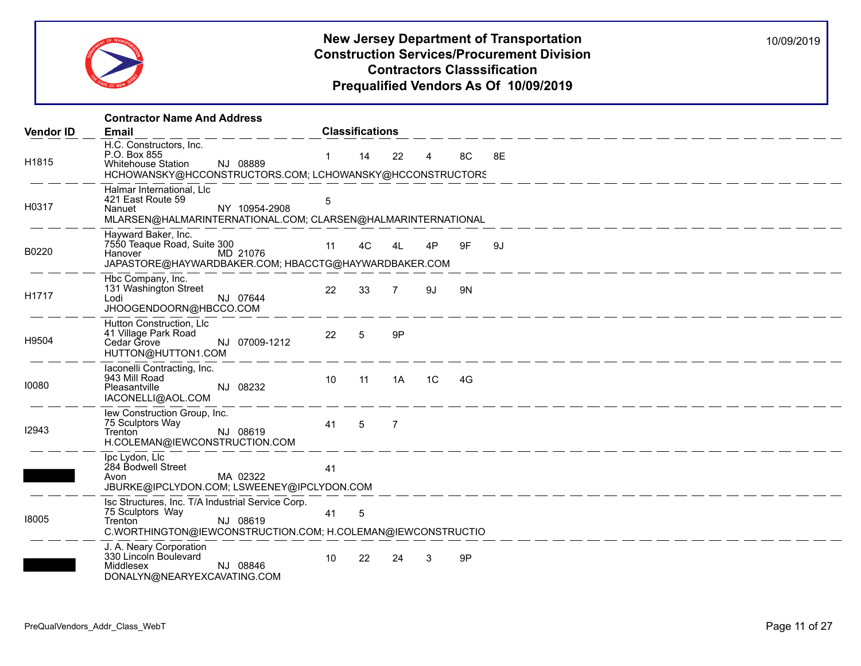

|                  | <b>Contractor Name And Address</b>                                                                                                                          |                 |                        |                |                |    |                                                       |  |  |
|------------------|-------------------------------------------------------------------------------------------------------------------------------------------------------------|-----------------|------------------------|----------------|----------------|----|-------------------------------------------------------|--|--|
| <b>Vendor ID</b> | Email                                                                                                                                                       |                 | <b>Classifications</b> |                |                |    |                                                       |  |  |
| H1815            | H.C. Constructors, Inc.<br>P.O. Box 855<br>NJ 08889<br><b>Whitehouse Station</b><br>HCHOWANSKY@HCCONSTRUCTORS.COM; LCHOWANSKY@HCCONSTRUCTORS                | $\mathbf{1}$    | 14                     | 22             | $\overline{4}$ | 8C | 8E                                                    |  |  |
| H0317            | Halmar International, Llc<br>421 East Route 59<br>NY 10954-2908<br>Nanuet<br>MLARSEN@HALMARINTERNATIONAL.COM; CLARSEN@HALMARINTERNATIONAL                   | 5               |                        |                |                |    |                                                       |  |  |
| B0220            | Hayward Baker, Inc.<br>7550 Teaque Road, Suite 300<br>MD 21076<br>Hanover<br>JAPASTORE@HAYWARDBAKER.COM; HBACCTG@HAYWARDBAKER.COM                           | 11              | 4C                     | 4L             | 4P             | 9F | 9J                                                    |  |  |
| H1717            | Hbc Company, Inc.<br>131 Washington Street<br>NJ 07644<br>Lodi<br>JHOOGENDOORN@HBCCO.COM                                                                    | 22              | 33                     | $\overline{7}$ | 9J             | 9N |                                                       |  |  |
| H9504            | Hutton Construction, Llc<br>41 Village Park Road<br>Cedar Grove<br>NJ 07009-1212<br>HUTTON@HUTTON1.COM                                                      | 22              | 5                      | 9P             |                |    |                                                       |  |  |
| 10080            | laconelli Contracting, Inc.<br>943 Mill Road<br>NJ 08232<br>Pleasantville<br>IACONELLI@AOL.COM                                                              | 10 <sup>°</sup> | 11                     | 1A             | 1C             | 4G |                                                       |  |  |
| 12943            | lew Construction Group, Inc.<br>75 Sculptors Way<br>NJ 08619<br>Trenton <sup>1</sup><br>H.COLEMAN@IEWCONSTRUCTION.COM                                       | 41              | 5                      | $\overline{7}$ |                |    |                                                       |  |  |
|                  | Ipc Lydon, Llc<br>284 Bodwell Street<br>MA 02322<br>Avon<br>JBURKE@IPCLYDON.COM; LSWEENEY@IPCLYDON.COM                                                      | 41              |                        |                |                |    | <u> 2002 - 2002 - 2002 - 2002 - 2002 - 2003 - 200</u> |  |  |
| 18005            | Isc Structures, Inc. T/A Industrial Service Corp.<br>75 Sculptors Way<br>NJ 08619<br>Trenton<br>C.WORTHINGTON@IEWCONSTRUCTION.COM; H.COLEMAN@IEWCONSTRUCTIO | 41              | $\overline{5}$         |                |                |    |                                                       |  |  |
|                  | J. A. Neary Corporation<br>330 Lincoln Boulevard<br>Middlesex<br>NJ 08846<br>DONALYN@NEARYEXCAVATING.COM                                                    | 10 <sup>°</sup> | 22                     | 24             | 3              | 9P |                                                       |  |  |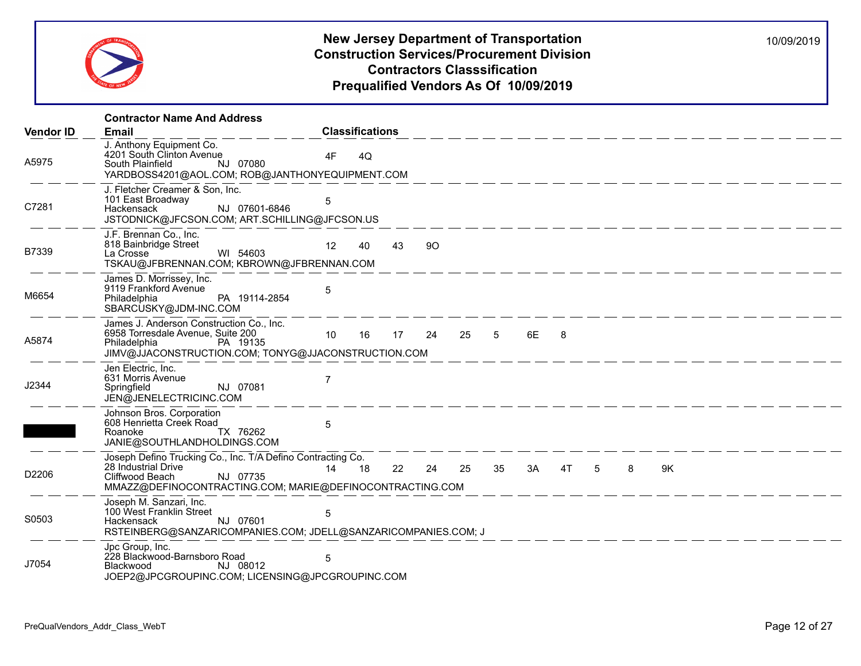

|                  | <b>Contractor Name And Address</b>                                                                                                                                            |                                                        |
|------------------|-------------------------------------------------------------------------------------------------------------------------------------------------------------------------------|--------------------------------------------------------|
| <b>Vendor ID</b> | Email                                                                                                                                                                         | <b>Classifications</b>                                 |
| A5975            | J. Anthony Equipment Co.<br>4201 South Clinton Avenue<br>NJ 07080<br>South Plainfield<br>YARDBOSS4201@AOL.COM; ROB@JANTHONYEQUIPMENT.COM                                      | 4F<br>4Q                                               |
| C7281            | J. Fletcher Creamer & Son, Inc.<br>101 East Broadway<br>NJ 07601-6846<br>Hackensack<br>JSTODNICK@JFCSON.COM; ART.SCHILLING@JFCSON.US                                          | 5                                                      |
| B7339            | J.F. Brennan Co., Inc.<br>818 Bainbridge Street<br>WI 54603<br>La Crosse<br>TSKAU@JFBRENNAN.COM; KBROWN@JFBRENNAN.COM                                                         | 12<br>43<br>90<br>40                                   |
| M6654            | James D. Morrissey, Inc.<br>9119 Frankford Avenue<br>PA 19114-2854<br>Philadelphia<br>SBARCUSKY@JDM-INC.COM                                                                   | 5                                                      |
| A5874            | James J. Anderson Construction Co., Inc.<br>6958 Torresdale Avenue, Suite 200<br>Philadelphia<br>PA 19135<br>JIMV@JJACONSTRUCTION.COM; TONYG@JJACONSTRUCTION.COM              | 17 24<br>10<br>16<br>25 5<br>6E<br>8                   |
| J2344            | Jen Electric, Inc.<br>631 Morris Avenue<br>NJ 07081<br>Springfield<br>JEN@JENELECTRICINC.COM                                                                                  | 7                                                      |
|                  | Johnson Bros. Corporation<br>608 Henrietta Creek Road<br>TX 76262<br>Roanoke<br>JANIE@SOUTHLANDHOLDINGS.COM                                                                   | 5                                                      |
| D2206            | Joseph Defino Trucking Co., Inc. T/A Defino Contracting Co.<br>28 Industrial Drive<br>NJ 07735<br>Cliffwood Beach<br>MMAZZ@DEFINOCONTRACTING.COM; MARIE@DEFINOCONTRACTING.COM | 14 18<br>3A<br>9K<br>24<br>25<br>35<br>4T 5<br>8<br>22 |
| S0503            | Joseph M. Sanzari, Inc.<br>100 West Franklin Street<br>NJ 07601<br>Hackensack<br>RSTEINBERG@SANZARICOMPANIES.COM; JDELL@SANZARICOMPANIES.COM; J                               | 5                                                      |
| J7054            | Jpc Group, Inc.<br>228 Blackwood-Barnsboro Road<br>Blackwood<br>NJ 08012<br>JOEP2@JPCGROUPINC.COM; LICENSING@JPCGROUPINC.COM                                                  | 5                                                      |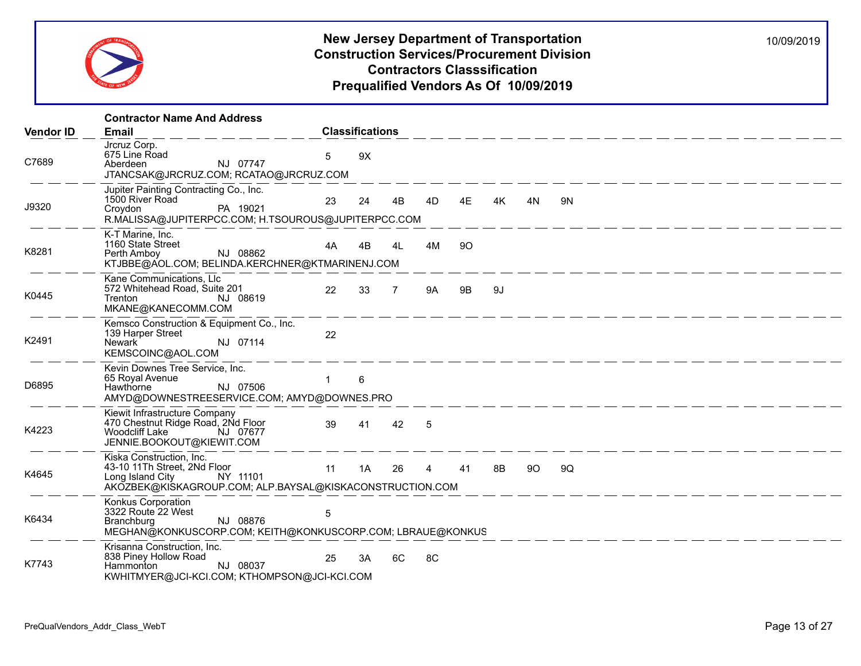

|                  | <b>Contractor Name And Address</b>                                                                                                                |    |                        |                |    |    |    |    |                                                                                                                      |
|------------------|---------------------------------------------------------------------------------------------------------------------------------------------------|----|------------------------|----------------|----|----|----|----|----------------------------------------------------------------------------------------------------------------------|
| <b>Vendor ID</b> | <b>Email</b>                                                                                                                                      |    | <b>Classifications</b> |                |    |    |    |    |                                                                                                                      |
| C7689            | Jrcruz Corp.<br>675 Line Road<br>NJ 07747<br>Aberdeen<br>JTANCSAK@JRCRUZ.COM; RCATAO@JRCRUZ.COM                                                   | 5  | 9X                     |                |    |    |    |    |                                                                                                                      |
| J9320            | Jupiter Painting Contracting Co., Inc.<br>1500 River Road<br>PA 19021<br>Croydon<br>R.MALISSA@JUPITERPCC.COM; H.TSOUROUS@JUPITERPCC.COM           | 23 | 24                     | 4B             | 4D | 4E | 4K | 4N | 9N                                                                                                                   |
| K8281            | K-T Marine, Inc.<br>1160 State Street<br>NJ 08862<br>Perth Amboy<br>KTJBBE@AOL.COM; BELINDA.KERCHNER@KTMARINENJ.COM                               | 4A | 4B                     | 4L             | 4M | 90 |    |    |                                                                                                                      |
| K0445            | Kane Communications, Llc<br>572 Whitehead Road, Suite 201<br>NJ 08619<br>Trenton<br>MKANE@KANECOMM.COM                                            | 22 | 33                     | $\overline{7}$ | 9A | 9B | 9J |    |                                                                                                                      |
| K2491            | Kemsco Construction & Equipment Co., Inc.<br>139 Harper Street<br>Newark <sup>1</sup><br>NJ 07114<br>KEMSCOINC@AOL.COM                            | 22 |                        |                |    |    |    |    | <u> 1990 - An Aon Aon Aon an Aon an Aon an Aon am Am Aon am Aon an Aon an Aon an Aon am Aon am Aon am Aon am Aon</u> |
| D6895            | Kevin Downes Tree Service, Inc.<br>65 Royal Avenue<br>NJ 07506<br>Hawthorne<br>AMYD@DOWNESTREESERVICE.COM; AMYD@DOWNES.PRO                        |    | 6                      |                |    |    |    |    |                                                                                                                      |
| K4223            | Kiewit Infrastructure Company<br>470 Chestnut Ridge Road, 2Nd Floor<br>Woodcliff Lake<br>NJ 07677<br>JENNIE.BOOKOUT@KIEWIT.COM                    | 39 | 41                     | 42             | 5  |    |    |    |                                                                                                                      |
| K4645            | Kiska Construction, Inc.<br>43-10 11Th Street, 2Nd Floor<br>Long Island City NY 11101<br>AKOZBEK@KISKAGROUP.COM; ALP.BAYSAL@KISKACONSTRUCTION.COM | 11 | 1A                     | 26             | 4  | 41 | 8B | 90 | 9Q                                                                                                                   |
| K6434            | Konkus Corporation<br>3322 Route 22 West<br>NJ 08876<br><b>Branchburg</b><br>MEGHAN@KONKUSCORP.COM; KEITH@KONKUSCORP.COM; LBRAUE@KONKUS           | 5  |                        |                |    |    |    |    |                                                                                                                      |
| K7743            | Krisanna Construction, Inc.<br>838 Piney Hollow Road<br>NJ 08037<br>Hammonton<br>KWHITMYER@JCI-KCI.COM; KTHOMPSON@JCI-KCI.COM                     | 25 | 3A                     | 6C             | 8C |    |    |    |                                                                                                                      |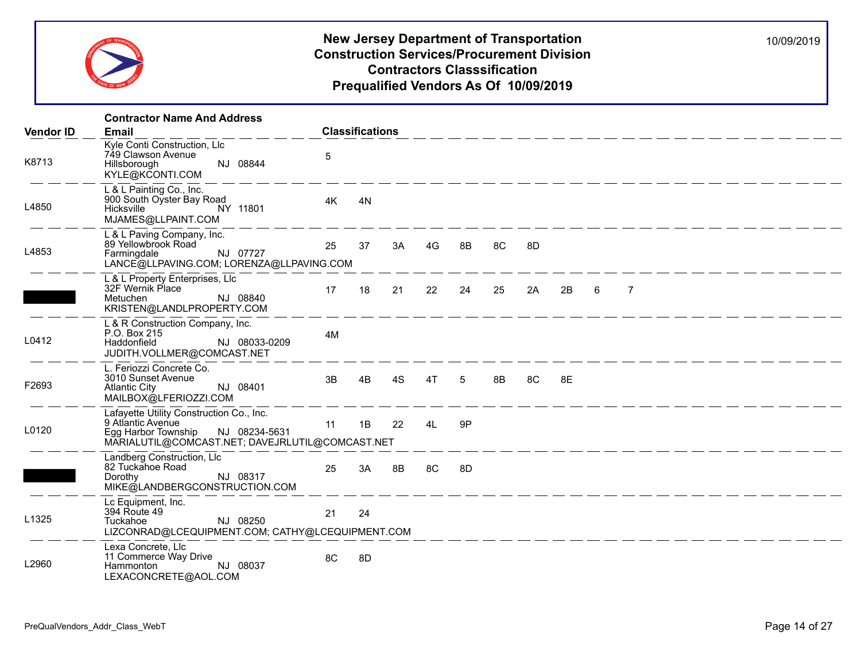

|                  | <b>Contractor Name And Address</b>                                                                                                                       |    |                        |    |    |    |    |    |                                  |   |                                                                        |  |  |  |
|------------------|----------------------------------------------------------------------------------------------------------------------------------------------------------|----|------------------------|----|----|----|----|----|----------------------------------|---|------------------------------------------------------------------------|--|--|--|
| <b>Vendor ID</b> | <b>Email</b>                                                                                                                                             |    | <b>Classifications</b> |    |    |    |    |    |                                  |   |                                                                        |  |  |  |
| K8713            | Kyle Conti Construction, Llc<br>749 Clawson Avenue<br>NJ 08844<br>Hillsborough<br>KYLE@KCONTI.COM                                                        | 5  |                        |    |    |    |    |    | <u> — — — — — — — — — — — — </u> |   |                                                                        |  |  |  |
| L4850            | L & L Painting Co., Inc.<br>900 South Oyster Bay Road<br>Hicksville<br>NY 11801<br>MJAMES@LLPAINT.COM                                                    | 4K | 4N                     |    |    |    |    |    |                                  |   |                                                                        |  |  |  |
| L4853            | L & L Paving Company, Inc.<br>89 Yellowbrook Road<br>NJ 07727<br>Farmingdale<br>LANCE@LLPAVING.COM; LORENZA@LLPAVING.COM                                 | 25 | 37                     | 3A | 4G | 8B | 8C | 8D |                                  |   |                                                                        |  |  |  |
|                  | L & L Property Enterprises, Llc<br>32F Wernik Place<br>NJ 08840<br>Metuchen<br>KRISTEN@LANDLPROPERTY.COM                                                 | 17 | 18                     | 21 | 22 | 24 | 25 | 2A | 2B                               | 6 | $\overline{7}$                                                         |  |  |  |
| L0412            | L & R Construction Company, Inc.<br>P.O. Box 215<br>Haddonfield<br>NJ 08033-0209<br>JUDITH.VOLLMER@COMCAST.NET                                           | 4M |                        |    |    |    |    |    |                                  |   |                                                                        |  |  |  |
| F2693            | L. Feriozzi Concrete Co.<br>3010 Sunset Avenue<br>NJ 08401<br><b>Atlantic City</b><br>MAILBOX@LFERIOZZI.COM                                              | 3B | 4B                     | 4S | 4T | 5  | 8B | 8C | 8E                               |   |                                                                        |  |  |  |
| L0120            | Lafayette Utility Construction Co., Inc.<br>9 Atlantic Avenue<br>NJ 08234-5631<br>Egg Harbor Township<br>MARIALUTIL@COMCAST.NET; DAVEJRLUTIL@COMCAST.NET | 11 | 1B                     | 22 | 4L | 9P |    |    |                                  |   |                                                                        |  |  |  |
|                  | Landberg Construction, Llc<br>82 Tuckahoe Road<br>NJ 08317<br>Dorothy<br>MIKE@LANDBERGCONSTRUCTION.COM                                                   | 25 | 3A                     | 8B | 8C | 8D |    |    |                                  |   | <u> 1990 - An An Aonaichte ann an Aonaichte ann an 1991. Bha an t-</u> |  |  |  |
| L1325            | Lc Equipment, Inc.<br>394 Route 49<br>Tuckahoe<br>NJ 08250<br>LIZCONRAD@LCEQUIPMENT.COM; CATHY@LCEQUIPMENT.COM                                           | 21 | 24                     |    |    |    |    |    |                                  |   |                                                                        |  |  |  |
| L2960            | Lexa Concrete, Llc<br>11 Commerce Way Drive<br>NJ 08037<br>Hammonton<br>LEXACONCRETE@AOL.COM                                                             | 8C | 8D                     |    |    |    |    |    |                                  |   |                                                                        |  |  |  |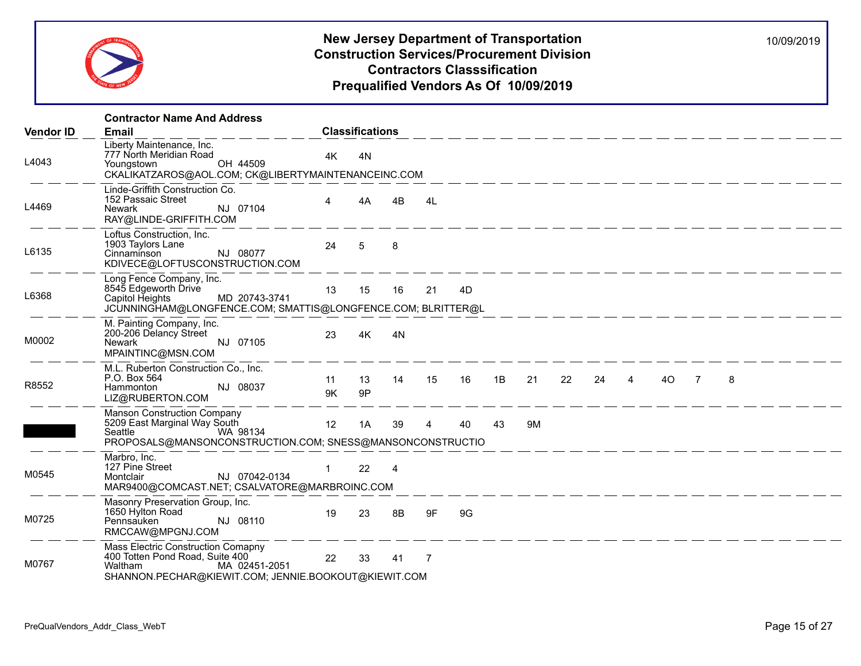

|                  | <b>Contractor Name And Address</b>                                                                                                                        |          |                        |                |                |    |    |            |    |    |                |    |                |   |  |
|------------------|-----------------------------------------------------------------------------------------------------------------------------------------------------------|----------|------------------------|----------------|----------------|----|----|------------|----|----|----------------|----|----------------|---|--|
| <b>Vendor ID</b> | <b>Email</b>                                                                                                                                              |          | <b>Classifications</b> |                |                |    |    |            |    |    |                |    |                |   |  |
| L4043            | Liberty Maintenance, Inc.<br>777 North Meridian Road<br>OH 44509<br>Youngstown<br>CKALIKATZAROS@AOL.COM; CK@LIBERTYMAINTENANCEINC.COM                     | 4K       | 4N                     |                |                |    |    |            |    |    |                |    |                |   |  |
| L4469            | Linde-Griffith Construction Co.<br>152 Passaic Street<br>NJ 07104<br>Newark<br>RAY@LINDE-GRIFFITH.COM                                                     | 4        | 4A                     | 4B             | 4L             |    |    | __________ |    |    |                |    |                |   |  |
| L6135            | Loftus Construction, Inc.<br>1903 Taylors Lane<br>NJ 08077<br>Cinnaminson<br>KDIVECE@LOFTUSCONSTRUCTION.COM                                               | 24       | 5                      | 8              |                |    |    |            |    |    |                |    |                |   |  |
| L6368            | Long Fence Company, Inc.<br>8545 Edgeworth Drive<br>MD 20743-3741<br>Capitol Heights<br>JCUNNINGHAM@LONGFENCE.COM; SMATTIS@LONGFENCE.COM; BLRITTER@L      | 13       | 15                     | 16             | 21             | 4D |    |            |    |    |                |    |                |   |  |
| M0002            | M. Painting Company, Inc.<br>200-206 Delancy Street<br>NJ 07105<br>Newark<br>MPAINTINC@MSN.COM                                                            | 23       | 4K                     | 4N             |                |    |    |            |    |    |                |    |                |   |  |
| R8552            | M.L. Ruberton Construction Co., Inc.<br>P.O. Box 564<br>NJ 08037<br>Hammonton<br>LIZ@RUBERTON.COM                                                         | 11<br>9K | 13<br>9P               | 14             | 15             | 16 | 1B | 21         | 22 | 24 | $\overline{4}$ | 4O | $\overline{7}$ | 8 |  |
|                  | Manson Construction Company<br>5209 East Marginal Way South<br>WA 98134<br>Seattle<br>PROPOSALS@MANSONCONSTRUCTION.COM; SNESS@MANSONCONSTRUCTIO           | 12       | 1A                     | 39             | $\overline{4}$ | 40 | 43 | 9M         |    |    |                |    |                |   |  |
| M0545            | Marbro, Inc.<br>127 Pine Street<br>NJ 07042-0134<br>Montclair<br>MAR9400@COMCAST.NET; CSALVATORE@MARBROINC.COM                                            |          | 22                     | $\overline{4}$ |                |    |    |            |    |    |                |    |                |   |  |
| M0725            | Masonry Preservation Group, Inc.<br>1650 Hylton Road<br>NJ 08110<br>Pennsauken<br>RMCCAW@MPGNJ.COM                                                        | 19       | 23                     | 8B             | 9F             | 9G |    |            |    |    |                |    |                |   |  |
| M0767            | Mass Electric Construction Comapny<br>400 Totten Pond Road, Suite 400<br>Waltham<br>MA 02451-2051<br>SHANNON.PECHAR@KIEWIT.COM; JENNIE.BOOKOUT@KIEWIT.COM | 22       | 33                     | 41             | -7             |    |    |            |    |    |                |    |                |   |  |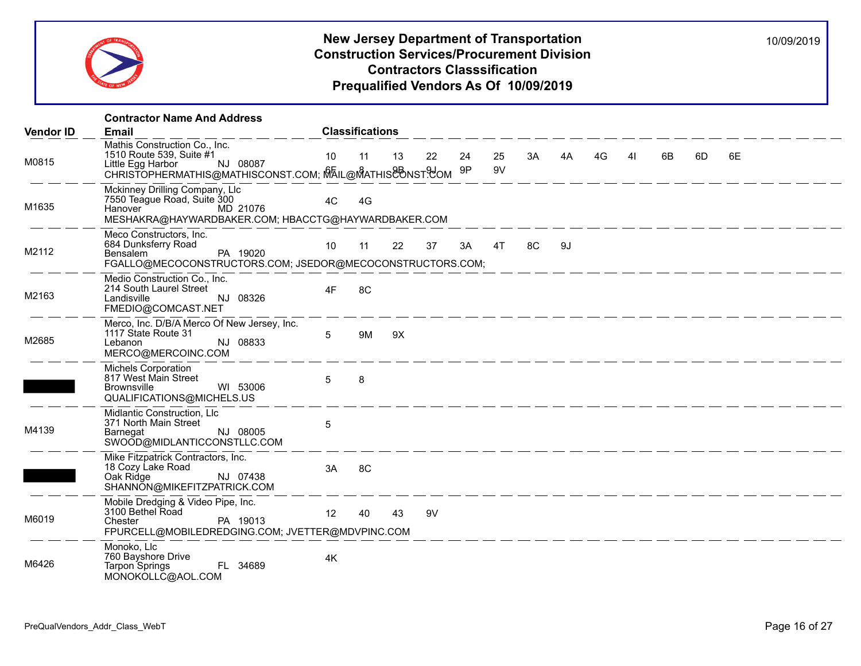

| <b>Vendor ID</b> | <b>Contractor Name And Address</b><br><b>Email</b>                                                                                                      |                 | <b>Classifications</b> |    |                                                                                  |    |          |    |    |    |    |                                                                                                                                                                                                                               |              |    |
|------------------|---------------------------------------------------------------------------------------------------------------------------------------------------------|-----------------|------------------------|----|----------------------------------------------------------------------------------|----|----------|----|----|----|----|-------------------------------------------------------------------------------------------------------------------------------------------------------------------------------------------------------------------------------|--------------|----|
| M0815            | Mathis Construction Co., Inc.<br>1510 Route 539, Suite #1<br>NJ 08087<br>Little Egg Harbor<br>CHRISTOPHERMATHIS@MATHISCONST.COM; MAIL@MATHIS&BNST&OM 9P | 10 <sup>°</sup> | 11                     | 13 | 22                                                                               | 24 | 25<br>9V | 3A | 4A | 4G | 41 | 6B                                                                                                                                                                                                                            | 6D           | 6E |
| M1635            | Mckinney Drilling Company, Llc<br>7550 Teague Road, Suite 300<br>Hanover MD 21076<br>MESHAKRA@HAYWARDBAKER.COM; HBACCTG@HAYWARDBAKER.COM                | 4C              | 4G                     |    |                                                                                  |    |          |    |    |    |    |                                                                                                                                                                                                                               | ____________ |    |
| M2112            | Meco Constructors, Inc.<br>684 Dunksferry Road<br>Bensalem<br>PA 19020<br>FGALLO@MECOCONSTRUCTORS.COM; JSEDOR@MECOCONSTRUCTORS.COM;                     | 10 <sup>1</sup> | 11                     | 22 | 37                                                                               | 3A | 4T       | 8C | 9J |    |    |                                                                                                                                                                                                                               |              |    |
| M2163            | Medio Construction Co., Inc.<br>214 South Laurel Street<br>NJ 08326<br>Landisville<br>FMEDIO@COMCAST.NET                                                | 4F              | 8C                     |    |                                                                                  |    |          |    |    |    |    | —————————————                                                                                                                                                                                                                 |              |    |
| M2685            | Merco, Inc. D/B/A Merco Of New Jersey, Inc.<br>1117 State Route 31<br>NJ 08833<br>Lebanon<br>MERCO@MERCOINC.COM                                         | 5               | 9M                     | 9X |                                                                                  |    |          |    |    |    |    |                                                                                                                                                                                                                               |              |    |
|                  | <b>Michels Corporation</b><br>817 West Main Street<br>WI 53006<br><b>Brownsville</b><br>QUALIFICATIONS@MICHELS.US                                       | 5               | 8                      |    | المساحسة المساحسة المساحسة المساحسة المساحسة المساحسة المساحسة المساحسة المساحسة |    |          |    |    |    |    |                                                                                                                                                                                                                               |              |    |
| M4139            | Midlantic Construction, Llc<br>371 North Main Street<br>NJ 08005<br>Barnegat<br>SWOOD@MIDLANTICCONSTLLC.COM                                             | $\sqrt{5}$      |                        |    |                                                                                  |    |          |    |    |    |    | the control of the control of the control of the control of the control of the control of the control of the control of the control of the control of the control of the control of the control of the control of the control |              |    |
|                  | Mike Fitzpatrick Contractors, Inc.<br>18 Cozy Lake Road<br>Oak Ridge<br>NJ 07438<br>SHANNON@MIKEFITZPATRICK.COM                                         | 3A              | 8C                     |    |                                                                                  |    |          |    |    |    |    |                                                                                                                                                                                                                               |              |    |
| M6019            | Mobile Dredging & Video Pipe, Inc.<br>3100 Bethel Road<br>PA 19013<br>Chester<br>FPURCELL@MOBILEDREDGING.COM; JVETTER@MDVPINC.COM                       | 12              | 40                     | 43 | 9V                                                                               |    |          |    |    |    |    |                                                                                                                                                                                                                               |              |    |
| M6426            | Monoko, Llc<br>760 Bayshore Drive<br>FL 34689<br>Tarpon Springs<br>MONOKOLLC@AOL.COM                                                                    | 4K              |                        |    |                                                                                  |    |          |    |    |    |    |                                                                                                                                                                                                                               |              |    |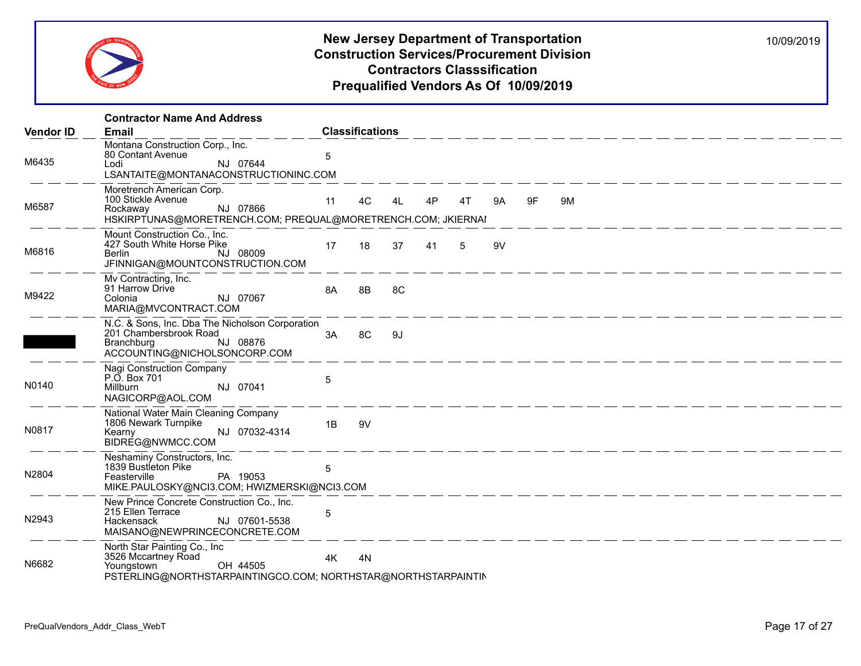

|                  | <b>Contractor Name And Address</b>                                                                                                              |    |                        |    |    |    |    |    |    |
|------------------|-------------------------------------------------------------------------------------------------------------------------------------------------|----|------------------------|----|----|----|----|----|----|
| <b>Vendor ID</b> | Email                                                                                                                                           |    | <b>Classifications</b> |    |    |    |    |    |    |
| M6435            | Montana Construction Corp., Inc.<br>80 Contant Avenue<br>NJ 07644<br>Lodi<br>LSANTAITE@MONTANACONSTRUCTIONINC.COM                               | 5  |                        |    |    |    |    |    |    |
| M6587            | Moretrench American Corp.<br>100 Stickle Avenue<br>NJ 07866<br>Rockaway<br>HSKIRPTUNAS@MORETRENCH.COM; PREQUAL@MORETRENCH.COM; JKIERNAI         | 11 | 4C                     | 4L | 4P | 4T | 9A | 9F | 9M |
| M6816            | Mount Construction Co., Inc.<br>427 South White Horse Pike<br>NJ 08009<br>Berlin<br>JFINNIGAN@MOUNTCONSTRUCTION.COM                             | 17 | 18                     | 37 | 41 | 5  | 9V |    |    |
| M9422            | Mv Contracting, Inc.<br>91 Harrow Drive<br>NJ 07067<br>Colonia<br>MARIA@MVCONTRACT.COM                                                          | 8A | 8B                     | 8C |    |    |    |    |    |
|                  | N.C. & Sons, Inc. Dba The Nicholson Corporation<br>201 Chambersbrook Road<br>NJ 08876<br>Branchburg<br>ACCOUNTING@NICHOLSONCORP.COM             | 3A | 8C                     | 9J |    |    |    |    |    |
| N0140            | Nagi Construction Company<br>P.O. Box 701<br>NJ 07041<br>Millburn<br>NAGICORP@AOL.COM                                                           | 5  |                        |    |    |    |    |    |    |
| N0817            | National Water Main Cleaning Company<br>1806 Newark Turnpike<br>NJ 07032-4314<br>Kearny<br>BIDREG@NWMCC.COM                                     | 1B | 9V                     |    |    |    |    |    |    |
| N2804            | Neshaminy Constructors, Inc.<br>1839 Bustleton Pike<br>PA 19053<br>Feasterville<br>MIKE.PAULOSKY@NCI3.COM; HWIZMERSKI@NCI3.COM                  | 5  |                        |    |    |    |    |    |    |
| N2943            | New Prince Concrete Construction Co., Inc.<br>215 Ellen Terrace<br>NJ 07601-5538<br>Hackensack<br>MAISANO@NEWPRINCECONCRETE.COM                 | 5  |                        |    |    |    |    |    |    |
| N6682            | North Star Painting Co., Inc.<br>3526 Mccartney Road<br>OH 44505<br>Youngstown<br>PSTERLING@NORTHSTARPAINTINGCO.COM; NORTHSTAR@NORTHSTARPAINTIN | 4K | 4N                     |    |    |    |    |    |    |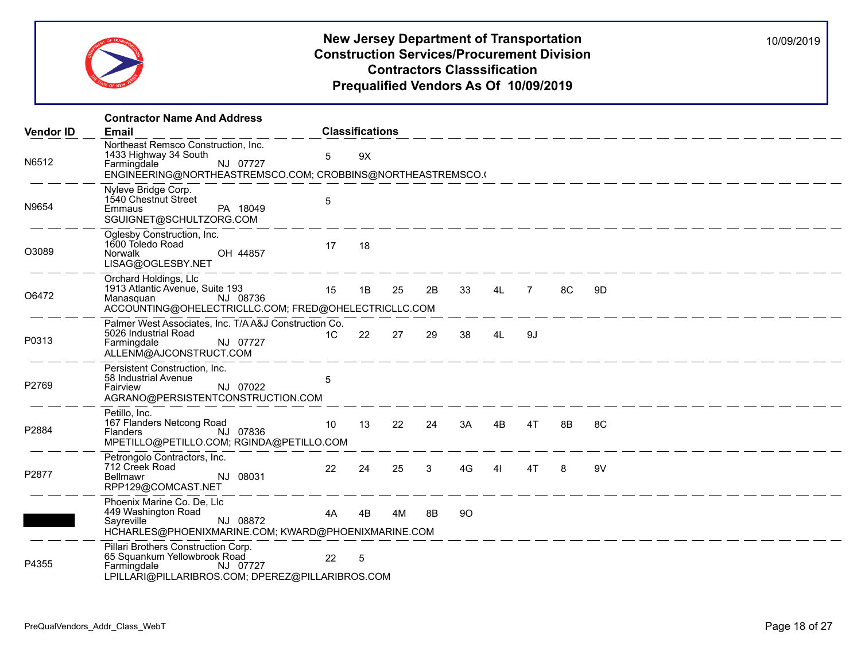

|                  | <b>Contractor Name And Address</b>                                                                                                                     |    |                        |    |    |    |    |      |    |                                                                                   |  |  |
|------------------|--------------------------------------------------------------------------------------------------------------------------------------------------------|----|------------------------|----|----|----|----|------|----|-----------------------------------------------------------------------------------|--|--|
| <b>Vendor ID</b> | <b>Email</b>                                                                                                                                           |    | <b>Classifications</b> |    |    |    |    |      |    |                                                                                   |  |  |
| N6512            | Northeast Remsco Construction, Inc.<br>1433 Highway 34 South<br>NJ 07727<br>Farmingdale<br>ENGINEERING@NORTHEASTREMSCO.COM; CROBBINS@NORTHEASTREMSCO.( | 5  | 9X                     |    |    |    |    |      |    |                                                                                   |  |  |
| N9654            | Nyleve Bridge Corp.<br>1540 Chestnut Street<br>Emmaus<br>PA 18049<br>SGUIGNET@SCHULTZORG.COM                                                           | 5  |                        |    |    |    |    |      |    | <u> 2001 - An An Aon ann an Aon an Aon an Aon an Aon an Aon an Aon an Aon an </u> |  |  |
| O3089            | Oglesby Construction, Inc.<br>1600 Toledo Road<br>OH 44857<br>Norwalk<br>LISAG@OGLESBY.NET                                                             | 17 | 18                     |    |    |    |    |      |    |                                                                                   |  |  |
| O6472            | Orchard Holdings, Llc<br>1913 Atlantic Avenue, Suite 193<br>NJ 08736<br>Manasquan<br>ACCOUNTING@OHELECTRICLLC.COM; FRED@OHELECTRICLLC.COM              | 15 | 1B                     | 25 | 2B | 33 |    | 4L 7 | 8C | 9D                                                                                |  |  |
| P0313            | Palmer West Associates, Inc. T/A A&J Construction Co.<br>5026 Industrial Road<br>NJ 07727<br>Farmingdale<br>ALLENM@AJCONSTRUCT.COM                     | 1C | 22                     | 27 | 29 | 38 | 4L | -9J  |    |                                                                                   |  |  |
| P2769            | Persistent Construction, Inc.<br>58 Industrial Avenue<br>NJ 07022<br>Fairview<br>AGRANO@PERSISTENTCONSTRUCTION.COM                                     | 5  |                        |    |    |    |    |      |    |                                                                                   |  |  |
| P2884            | Petillo. Inc.<br>167 Flanders Netcong Road<br>NJ 07836<br>Flanders<br>MPETILLO@PETILLO.COM; RGINDA@PETILLO.COM                                         | 10 | 13                     | 22 | 24 | 3A | 4B | 4T   | 8B | 8C                                                                                |  |  |
| P2877            | Petrongolo Contractors, Inc.<br>712 Creek Road<br>NJ 08031<br>Bellmawr<br>RPP129@COMCAST.NET                                                           | 22 | 24                     | 25 | 3  | 4G | 41 | 4T   | 8  | 9V                                                                                |  |  |
|                  | Phoenix Marine Co. De, Llc<br>449 Washington Road<br>NJ 08872<br>Sayreville<br>HCHARLES@PHOENIXMARINE.COM; KWARD@PHOENIXMARINE.COM                     | 4A | 4B                     | 4M | 8B | 90 |    |      |    |                                                                                   |  |  |
| P4355            | Pillari Brothers Construction Corp.<br>65 Squankum Yellowbrook Road<br>NJ 07727<br>Farmingdale<br>LPILLARI@PILLARIBROS.COM; DPEREZ@PILLARIBROS.COM     | 22 | 5                      |    |    |    |    |      |    |                                                                                   |  |  |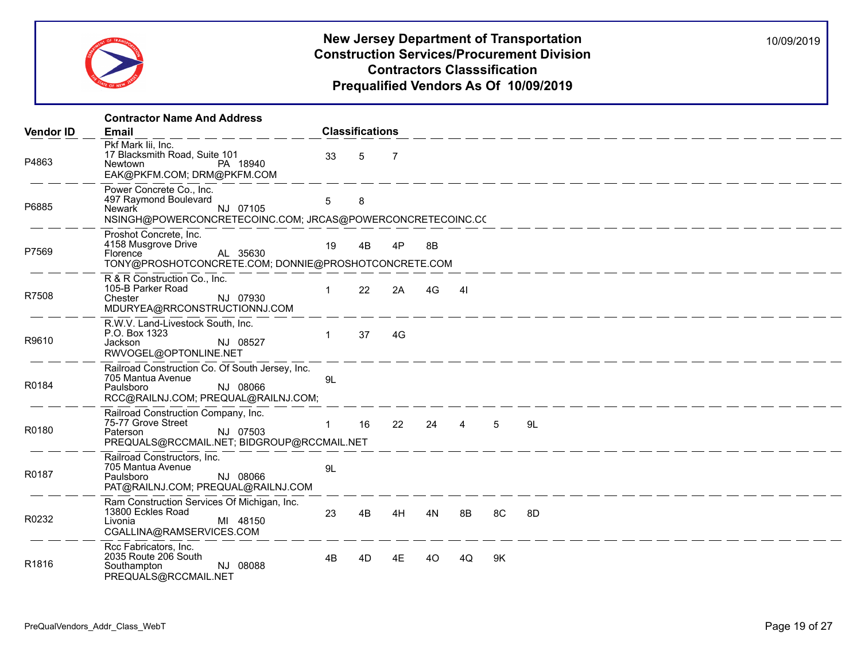

|                  | <b>Contractor Name And Address</b>                                                                                                    |              |                        |                |           |                |    |                                                                               |  |  |  |
|------------------|---------------------------------------------------------------------------------------------------------------------------------------|--------------|------------------------|----------------|-----------|----------------|----|-------------------------------------------------------------------------------|--|--|--|
| <b>Vendor ID</b> | <b>Email</b>                                                                                                                          |              | <b>Classifications</b> |                |           |                |    |                                                                               |  |  |  |
| P4863            | Pkf Mark lii, Inc.<br>17 Blacksmith Road, Suite 101<br>PA 18940<br>Newtown<br>EAK@PKFM.COM; DRM@PKFM.COM                              | 33           | 5                      | $\overline{7}$ |           |                |    |                                                                               |  |  |  |
| P6885            | Power Concrete Co., Inc.<br>497 Raymond Boulevard<br>NJ 07105<br>Newark<br>NSINGH@POWERCONCRETECOINC.COM; JRCAS@POWERCONCRETECOINC.CC | 5            | 8                      |                |           |                |    |                                                                               |  |  |  |
| P7569            | Proshot Concrete, Inc.<br>4158 Musgrove Drive<br>AL 35630<br>Florence<br>TONY@PROSHOTCONCRETE.COM; DONNIE@PROSHOTCONCRETE.COM         | 19           | 4B                     | 4P             | 8B        |                |    |                                                                               |  |  |  |
| R7508            | R & R Construction Co., Inc.<br>105-B Parker Road<br>NJ 07930<br>Chester<br>MDURYEA@RRCONSTRUCTIONNJ.COM                              | $\mathbf{1}$ | 22                     | 2A             | 4G        | $\overline{4}$ |    |                                                                               |  |  |  |
| R9610            | R.W.V. Land-Livestock South, Inc.<br>P.O. Box 1323<br>NJ 08527<br>Jackson<br>RWVOGEL@OPTONLINE.NET                                    | $\mathbf{1}$ | 37                     | 4G             |           |                |    | <u> 1990 - An An Aon an Aon an Aon an Aon an Aon an Aon an Aon an Aon an </u> |  |  |  |
| R0184            | Railroad Construction Co. Of South Jersey, Inc.<br>705 Mantua Avenue<br>NJ 08066<br>Paulsboro<br>RCC@RAILNJ.COM; PREQUAL@RAILNJ.COM;  | 9L           |                        |                |           |                |    |                                                                               |  |  |  |
| R0180            | Railroad Construction Company, Inc.<br>75-77 Grove Street<br>NJ 07503<br>Paterson<br>PREQUALS@RCCMAIL.NET; BIDGROUP@RCCMAIL.NET       | $\mathbf{1}$ | 16                     |                | 22 24 4 5 |                |    | 9L                                                                            |  |  |  |
| R0187            | Railroad Constructors, Inc.<br>705 Mantua Avenue<br>NJ 08066<br>Paulsboro<br>PAT@RAILNJ.COM; PREQUAL@RAILNJ.COM                       | 9L           |                        |                |           |                |    |                                                                               |  |  |  |
| R0232            | Ram Construction Services Of Michigan, Inc.<br>13800 Eckles Road<br>MI 48150<br>Livonia<br>CGALLINA@RAMSERVICES.COM                   | 23           | 4B                     | 4H             | 4N        | 8B             | 8C | 8D                                                                            |  |  |  |
| R1816            | Rcc Fabricators, Inc.<br>2035 Route 206 South<br>NJ 08088<br>Southampton<br>PREQUALS@RCCMAIL.NET                                      | 4B           | 4D                     | 4E             | 40        | 4Q             | 9K |                                                                               |  |  |  |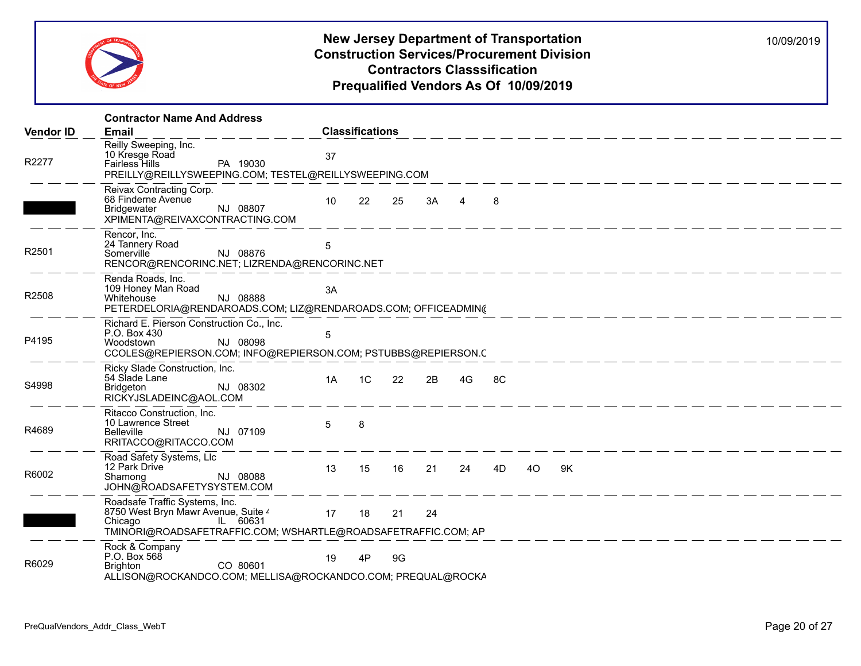

|                  | <b>Contractor Name And Address</b>                                                                                                    |                                                                                       |  |
|------------------|---------------------------------------------------------------------------------------------------------------------------------------|---------------------------------------------------------------------------------------|--|
| <b>Vendor ID</b> | <b>Email</b>                                                                                                                          | <b>Classifications</b>                                                                |  |
| R2277            | Reilly Sweeping, Inc.<br>10 Kresge Road<br>PA 19030<br><b>Fairless Hills</b><br>PREILLY@REILLYSWEEPING.COM; TESTEL@REILLYSWEEPING.COM | 37                                                                                    |  |
|                  | Reivax Contracting Corp.<br>68 Finderne Avenue<br>NJ 08807<br><b>Bridgewater</b><br>XPIMENTA@REIVAXCONTRACTING.COM                    | 10<br>22<br>25<br>$3A \qquad 4$<br>-8                                                 |  |
| R2501            | Rencor, Inc.<br>24 Tannery Road<br>NJ 08876<br>Somerville<br>RENCOR@RENCORINC.NET; LIZRENDA@RENCORINC.NET                             | 5                                                                                     |  |
| R2508            | Renda Roads, Inc.<br>109 Honey Man Road<br>NJ 08888<br>Whitehouse                                                                     | 3A<br>PETERDELORIA@RENDAROADS.COM; LIZ@RENDAROADS.COM; OFFICEADMIN(                   |  |
| P4195            | Richard E. Pierson Construction Co., Inc.<br>P.O. Box 430<br>NJ 08098<br>Woodstown                                                    | 5<br>CCOLES@REPIERSON.COM; INFO@REPIERSON.COM; PSTUBBS@REPIERSON.C                    |  |
| S4998            | Ricky Slade Construction, Inc.<br>54 Slade Lane<br>NJ 08302<br>Bridgeton<br>RICKYJSLADEINC@AOL.COM                                    | 1C<br>22<br>2B<br>4G<br>8C<br>1A                                                      |  |
| R4689            | Ritacco Construction, Inc.<br>10 Lawrence Street<br>NJ 07109<br><b>Belleville</b><br>RRITACCO@RITACCO.COM                             | 5<br>8                                                                                |  |
| R6002            | Road Safety Systems, Llc<br>12 Park Drive<br>NJ 08088<br>Shamong<br>JOHN@ROADSAFETYSYSTEM.COM                                         | 13<br>15<br>16<br>21<br>24<br>4D<br>40<br>9K                                          |  |
|                  | Roadsafe Traffic Systems, Inc.<br>8750 West Bryn Mawr Avenue, Suite 4<br>IL 60631<br>Chicago                                          | 17<br>18<br>21<br>24<br>TMINORI@ROADSAFETRAFFIC.COM; WSHARTLE@ROADSAFETRAFFIC.COM; AP |  |
| R6029            | Rock & Company<br>P.O. Box 568<br>CO 80601<br><b>Brighton</b>                                                                         | 19<br>9G<br>4P<br>ALLISON@ROCKANDCO.COM; MELLISA@ROCKANDCO.COM; PREQUAL@ROCKA         |  |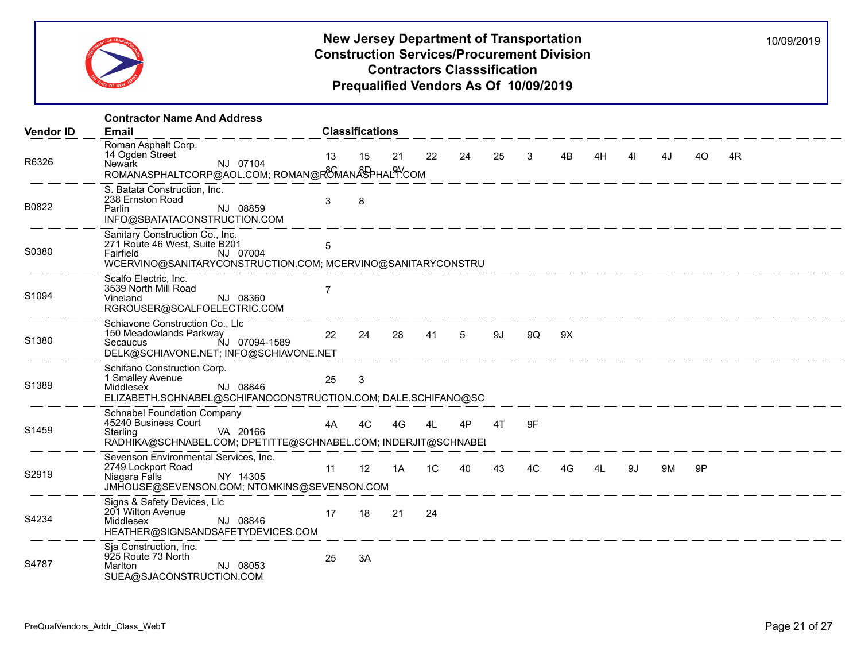

|                  | <b>Contractor Name And Address</b>                                                                                                                                         |                |                        |    |                |    |    |              |    |    |    |    |    |    |  |
|------------------|----------------------------------------------------------------------------------------------------------------------------------------------------------------------------|----------------|------------------------|----|----------------|----|----|--------------|----|----|----|----|----|----|--|
| <b>Vendor ID</b> | Email                                                                                                                                                                      |                | <b>Classifications</b> |    |                |    |    |              |    |    |    |    |    |    |  |
| R6326            | Roman Asphalt Corp.<br>14 Ogden Street<br>NJ 07104<br>Newark<br>ROMANASPHALTCORP@AOL.COM; ROMAN@R8MANASPHAL9YCOM                                                           | 13             | 15                     | 21 | 22             | 24 | 25 | $\mathbf{3}$ | 4B | 4H | 41 | 4J | 40 | 4R |  |
| B0822            | S. Batata Construction, Inc.<br>238 Ernston Road<br>NJ 08859<br>Parlin<br>INFO@SBATATACONSTRUCTION.COM                                                                     | 3              | 8                      |    |                |    |    |              |    |    |    |    |    |    |  |
| S0380            | Sanitary Construction Co., Inc.<br>271 Route 46 West, Suite B201<br>NJ 07004<br><b>Fairfield Example 19</b><br>WCERVINO@SANITARYCONSTRUCTION.COM; MCERVINO@SANITARYCONSTRU | 5              |                        |    |                |    |    |              |    |    |    |    |    |    |  |
| S1094            | Scalfo Electric, Inc.<br>3539 North Mill Road<br>NJ 08360<br>Vineland<br>RGROUSER@SCALFOELECTRIC.COM                                                                       | $\overline{7}$ |                        |    |                |    |    |              |    |    |    |    |    |    |  |
| S1380            | Schiavone Construction Co., Llc<br>150 Meadowlands Parkway<br>NJ 07094-1589<br>Secaucus<br>DELK@SCHIAVONE.NET; INFO@SCHIAVONE.NET                                          | 22             | 24                     | 28 | 41             | 5  | 9J | 9Q           | 9X |    |    |    |    |    |  |
| S1389            | Schifano Construction Corp.<br>1 Smalley Avenue<br>NJ 08846<br>Middlesex<br>ELIZABETH.SCHNABEL@SCHIFANOCONSTRUCTION.COM; DALE.SCHIFANO@SC                                  | 25             | 3                      |    |                |    |    |              |    |    |    |    |    |    |  |
| S1459            | <b>Schnabel Foundation Company</b><br>45240 Business Court<br>VA 20166<br>Sterling<br>RADHIKA@SCHNABEL.COM; DPETITTE@SCHNABEL.COM; INDERJIT@SCHNABEL                       | 4A             | 4C                     | 4G | 4L             | 4P | 4T | 9F           |    |    |    |    |    |    |  |
| S2919            | Sevenson Environmental Services, Inc.<br>2749 Lockport Road<br>NY 14305<br>Niagara Falls<br>JMHOUSE@SEVENSON.COM; NTOMKINS@SEVENSON.COM                                    | 11             | 12                     | 1A | 1 <sup>C</sup> | 40 | 43 | 4C           | 4G | 41 | 9J | 9M | 9P |    |  |
| S4234            | Signs & Safety Devices, Llc<br>201 Wilton Avenue<br>NJ 08846<br>Middlesex<br>HEATHER@SIGNSANDSAFETYDEVICES.COM                                                             | 17             | 18                     | 21 | 24             |    |    | ____________ |    |    |    |    |    |    |  |
| S4787            | Sja Construction, Inc.<br>925 Route 73 North<br>Marlton<br>NJ 08053<br>SUEA@SJACONSTRUCTION.COM                                                                            | 25             | 3A                     |    |                |    |    |              |    |    |    |    |    |    |  |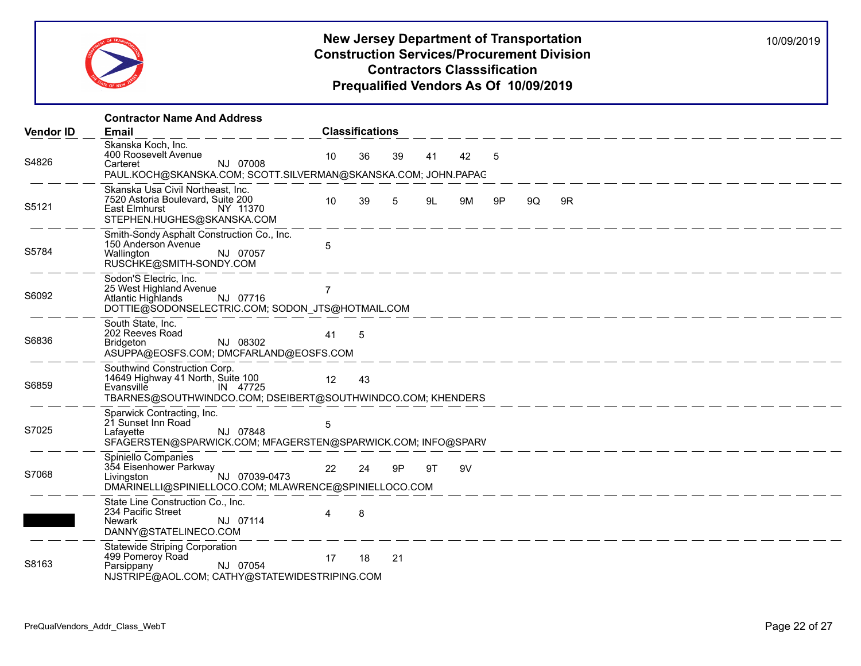

|                  | <b>Contractor Name And Address</b>                                                                                                                                        |                |                        |    |    |    |    |    |    |
|------------------|---------------------------------------------------------------------------------------------------------------------------------------------------------------------------|----------------|------------------------|----|----|----|----|----|----|
| <b>Vendor ID</b> | <b>Email</b>                                                                                                                                                              |                | <b>Classifications</b> |    |    |    |    |    |    |
| S4826            | Skanska Koch, Inc.<br>400 Roosevelt Avenue<br>NJ 07008<br>Carteret<br>PAUL.KOCH@SKANSKA.COM; SCOTT.SILVERMAN@SKANSKA.COM; JOHN.PAPAC                                      | 10             | 36                     | 39 | 41 | 42 | 5  |    |    |
| S5121            | Skanska Usa Civil Northeast, Inc.<br>7520 Astoria Boulevard, Suite 200<br>East Elmhurst<br>NY 11370<br>STEPHEN.HUGHES@SKANSKA.COM                                         | 10             | 39                     | 5  | 9L | 9M | 9P | 9Q | 9R |
| S5784            | Smith-Sondy Asphalt Construction Co., Inc.<br>150 Anderson Avenue<br>NJ 07057<br>Wallington<br>RUSCHKE@SMITH-SONDY.COM                                                    | 5              |                        |    |    |    |    |    |    |
| S6092            | Sodon'S Electric, Inc.<br>25 West Highland Avenue<br>Atlantic Highlands<br>NJ 07716<br>DOTTIE@SODONSELECTRIC.COM; SODON_JTS@HOTMAIL.COM                                   | $\overline{7}$ |                        |    |    |    |    |    |    |
| S6836            | South State, Inc.<br>202 Reeves Road<br>NJ 08302<br>Bridgeton<br>ASUPPA@EOSFS.COM; DMCFARLAND@EOSFS.COM                                                                   | 41             | - 5                    |    |    |    |    |    |    |
| S6859            | Southwind Construction Corp.<br>14649 Highway 41 North, Suite 100<br>$\overline{1}$ IN 47725<br>Evansville<br>TBARNES@SOUTHWINDCO.COM; DSEIBERT@SOUTHWINDCO.COM; KHENDERS | 12             | 43                     |    |    |    |    |    |    |
| S7025            | Sparwick Contracting, Inc.<br>21 Sunset Inn Road<br>NJ 07848<br>Lafayette<br>SFAGERSTEN@SPARWICK.COM; MFAGERSTEN@SPARWICK.COM; INFO@SPARV                                 | 5              |                        |    |    |    |    |    |    |
| S7068            | Spiniello Companies<br>Spiniello Companiel<br>354 Eisenhower Parkway<br>NJ 07039-0473<br>DMARINELLI@SPINIELLOCO.COM; MLAWRENCE@SPINIELLOCO.COM                            | 22             | 24                     | 9P | 9T | 9V |    |    |    |
|                  | State Line Construction Co., Inc.<br>234 Pacific Street<br>NJ 07114<br>Newark<br>DANNY@STATELINECO.COM                                                                    |                | 8                      |    |    |    |    |    |    |
| S8163            | <b>Statewide Striping Corporation</b><br>499 Pomeroy Road<br>NJ 07054<br>Parsippany<br>NJSTRIPE@AOL.COM; CATHY@STATEWIDESTRIPING.COM                                      | 17             | 18                     | 21 |    |    |    |    |    |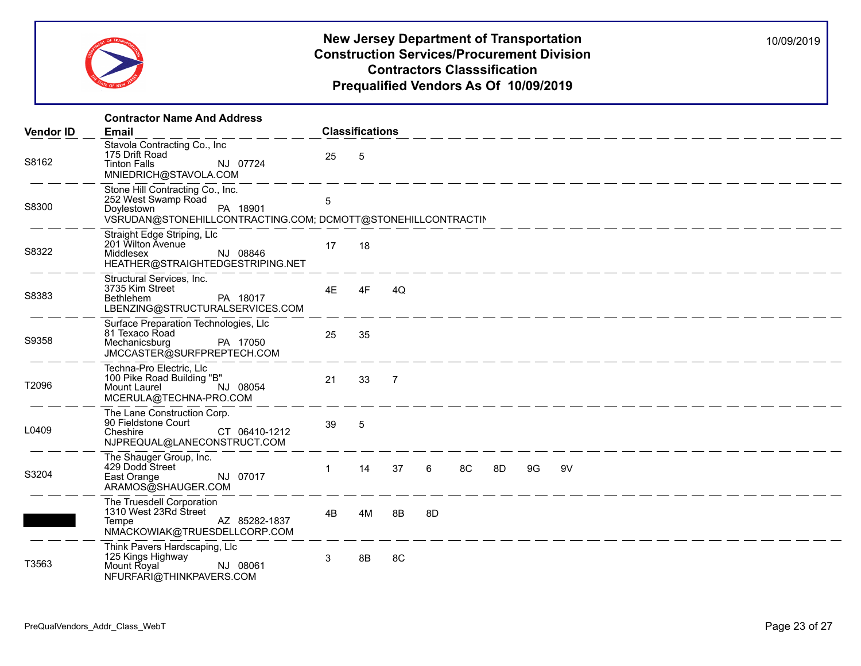

|                  | <b>Contractor Name And Address</b>                                                                                                                |              |                        |                |                 |    |    |    |                                                                                                                        |  |  |  |
|------------------|---------------------------------------------------------------------------------------------------------------------------------------------------|--------------|------------------------|----------------|-----------------|----|----|----|------------------------------------------------------------------------------------------------------------------------|--|--|--|
| <b>Vendor ID</b> | <b>Email</b>                                                                                                                                      |              | <b>Classifications</b> |                |                 |    |    |    |                                                                                                                        |  |  |  |
| S8162            | Stavola Contracting Co., Inc.<br>175 Drift Road<br>NJ 07724<br><b>Tinton Falls</b><br>MNIEDRICH@STAVOLA.COM                                       | 25           | -5                     |                |                 |    |    |    | <u>المراجعة المسترد المسترد المسترد المسترد المسترد المسترد المسترد المسترد المسترد المسترد المسترد المسترد المستر</u> |  |  |  |
| S8300            | Stone Hill Contracting Co., Inc.<br>252 West Swamp Road<br>PA 18901<br>Doylestown<br>VSRUDAN@STONEHILLCONTRACTING.COM; DCMOTT@STONEHILLCONTRACTIN | 5            |                        |                |                 |    |    |    |                                                                                                                        |  |  |  |
| S8322            | Straight Edge Striping, Llc<br>201 Wilton Avenue<br>NJ 08846<br>Middlesex<br>HEATHER@STRAIGHTEDGESTRIPING.NET                                     | 17           | 18                     |                |                 |    |    |    |                                                                                                                        |  |  |  |
| S8383            | Structural Services, Inc.<br>3735 Kim Street<br>Bethlehem<br>PA 18017<br>LBENZING@STRUCTURALSERVICES.COM                                          | 4E           | 4F                     | 4Q             |                 |    |    |    |                                                                                                                        |  |  |  |
| S9358            | Surface Preparation Technologies, Llc<br>81 Texaco Road<br>PA 17050<br>Mechanicsburg<br>JMCCASTER@SURFPREPTECH.COM                                | 25           | 35                     |                |                 |    |    |    |                                                                                                                        |  |  |  |
| T2096            | Techna-Pro Electric, Llc<br>100 Pike Road Building "B"<br>NJ 08054<br>Mount Laurel<br>MCERULA@TECHNA-PRO.COM                                      | 21           | 33                     | $\overline{7}$ |                 |    |    |    |                                                                                                                        |  |  |  |
| L0409            | The Lane Construction Corp.<br>90 Fieldstone Court<br>Cheshire<br>CT 06410-1212<br>NJPREQUAL@LANECONSTRUCT.COM                                    | 39           | 5                      |                |                 |    |    |    |                                                                                                                        |  |  |  |
| S3204            | The Shauger Group, Inc.<br>429 Dodd Street<br>NJ 07017<br>East Orange<br>ARAMOS@SHAUGER.COM                                                       | $\mathbf{1}$ | 14                     | 37             | $6\overline{6}$ | 8C | 8D | 9G | 9V                                                                                                                     |  |  |  |
|                  | The Truesdell Corporation<br>1310 West 23Rd Street<br>AZ 85282-1837<br>Tempe<br>NMACKOWIAK@TRUESDELLCORP.COM                                      | 4B           | 4M                     | 8B             | 8D              |    |    |    | __________                                                                                                             |  |  |  |
| T3563            | Think Pavers Hardscaping, Llc<br>125 Kings Highway<br>Mount Royal<br>NJ 08061<br>NFURFARI@THINKPAVERS.COM                                         | 3            | 8B                     | 8C             |                 |    |    |    |                                                                                                                        |  |  |  |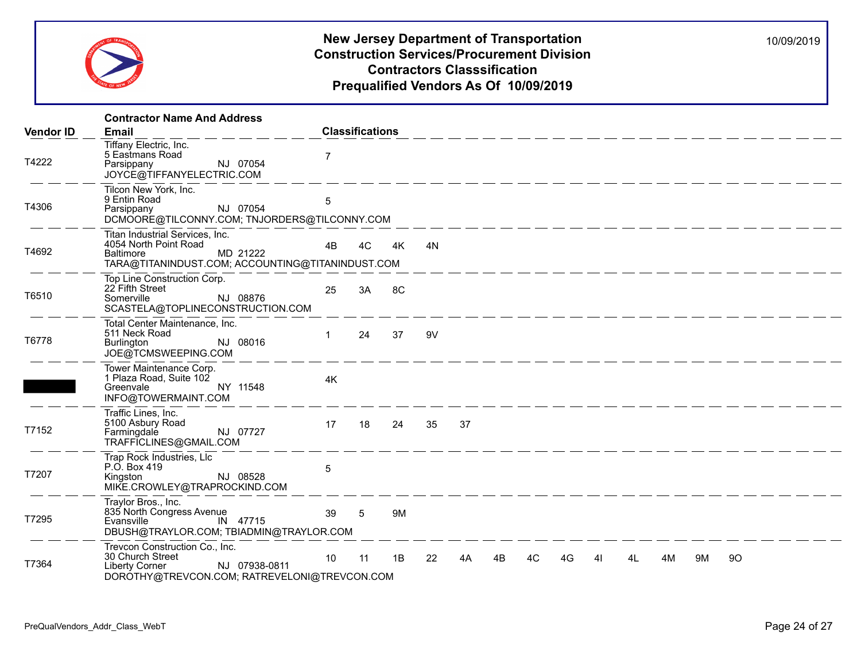

|                  | <b>Contractor Name And Address</b>                                                                                                           |                 |                        |    |    |    |    |    |    |    |                                                              |    |    |    |  |
|------------------|----------------------------------------------------------------------------------------------------------------------------------------------|-----------------|------------------------|----|----|----|----|----|----|----|--------------------------------------------------------------|----|----|----|--|
| <b>Vendor ID</b> | <b>Email</b>                                                                                                                                 |                 | <b>Classifications</b> |    |    |    |    |    |    |    |                                                              |    |    |    |  |
| T4222            | Tiffany Electric, Inc.<br>5 Eastmans Road<br>NJ 07054<br>Parsippany<br>JOYCE@TIFFANYELECTRIC.COM                                             | $\overline{7}$  |                        |    |    |    |    |    |    |    |                                                              |    |    |    |  |
| T4306            | Tilcon New York, Inc.<br>9 Entin Road<br>NJ 07054<br>Parsippany<br>DCMOORE@TILCONNY.COM; TNJORDERS@TILCONNY.COM                              | 5               |                        |    |    |    |    |    |    |    |                                                              |    |    |    |  |
| T4692            | Titan Industrial Services, Inc.<br>4054 North Point Road<br>MD 21222<br><b>Baltimore</b><br>TARA@TITANINDUST.COM; ACCOUNTING@TITANINDUST.COM | 4B              | 4C                     | 4K | 4N |    |    |    |    |    |                                                              |    |    |    |  |
| T6510            | Top Line Construction Corp.<br>22 Fifth Street<br>NJ 08876<br>Somerville<br>SCASTELA@TOPLINECONSTRUCTION.COM                                 | 25              | 3A                     | 8C |    |    |    |    |    |    | <u> 1990 - An An Aon ann an Aon an Aon an Aon an Aon an </u> |    |    |    |  |
| T6778            | Total Center Maintenance, Inc.<br>511 Neck Road<br>NJ 08016<br>Burlington<br>JOE@TCMSWEEPING.COM                                             | 1               | 24                     | 37 | 9V |    |    |    |    |    |                                                              |    |    |    |  |
|                  | Tower Maintenance Corp.<br>1 Plaza Road, Suite 102<br>NY 11548<br>Greenvale<br>INFO@TOWERMAINT.COM                                           | 4K              |                        |    |    |    |    |    |    |    |                                                              |    |    |    |  |
| T7152            | Traffic Lines, Inc.<br>5100 Asbury Road<br>NJ 07727<br>Farmingdale<br>TRAFFICLINES@GMAIL.COM                                                 | 17              | 18                     | 24 | 35 | 37 |    |    |    |    |                                                              |    |    |    |  |
| T7207            | Trap Rock Industries, Llc<br>P.O. Box 419<br>NJ 08528<br>Kingston<br>MIKE.CROWLEY@TRAPROCKIND.COM                                            | 5               |                        |    |    |    |    |    |    |    |                                                              |    |    |    |  |
| T7295            | Traylor Bros., Inc.<br>835 North Congress Avenue<br>Evansville<br>IN 47715<br>DBUSH@TRAYLOR.COM; TBIADMIN@TRAYLOR.COM                        | 39              | 5                      | 9M |    |    |    |    |    |    |                                                              |    |    |    |  |
| T7364            | Trevcon Construction Co., Inc.<br>30 Church Street<br>NJ 07938-0811<br><b>Liberty Corner</b><br>DOROTHY@TREVCON.COM; RATREVELONI@TREVCON.COM | 10 <sup>°</sup> | 11                     | 1B | 22 | 4A | 4B | 4C | 4G | 41 | 4L                                                           | 4M | 9M | 90 |  |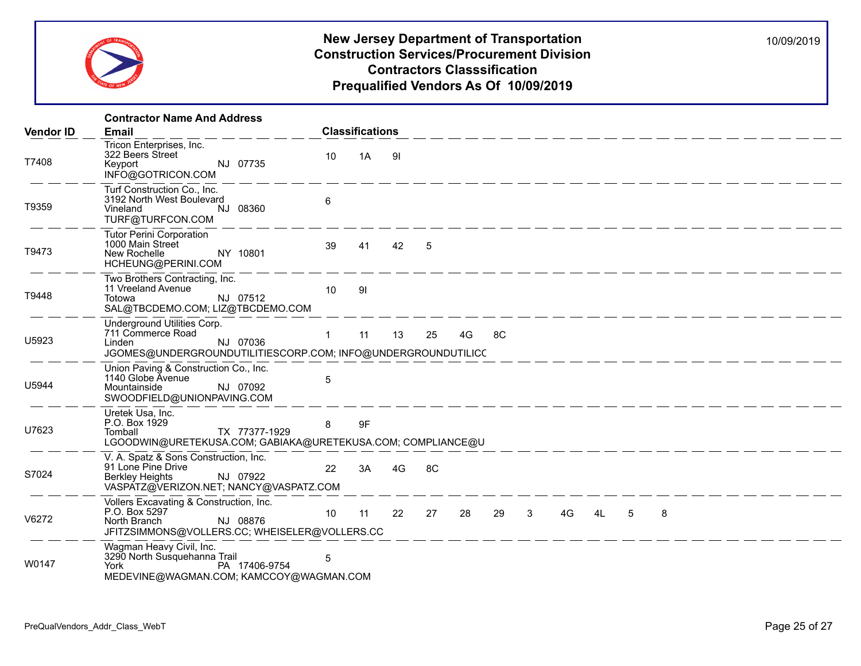

|                  | <b>Contractor Name And Address</b>                                                                                                            |              |                        |     |    |    |      |                                                                                                                              |        |   |   |  |  |
|------------------|-----------------------------------------------------------------------------------------------------------------------------------------------|--------------|------------------------|-----|----|----|------|------------------------------------------------------------------------------------------------------------------------------|--------|---|---|--|--|
| <b>Vendor ID</b> | Email                                                                                                                                         |              | <b>Classifications</b> |     |    |    |      |                                                                                                                              |        |   |   |  |  |
| T7408            | Tricon Enterprises, Inc.<br>322 Beers Street<br>NJ 07735<br>Keyport<br>INFO@GOTRICON.COM                                                      | 10           | 1A                     | -91 |    |    |      | <u> 1986 - 1986 - 1986 - 1986 - 1986 - 19</u>                                                                                |        |   |   |  |  |
| T9359            | Turf Construction Co., Inc.<br>3192 North West Boulevard<br>NJ 08360<br>Vineland<br>TURF@TURFCON.COM                                          | 6            |                        |     |    |    |      |                                                                                                                              |        |   |   |  |  |
| T9473            | <b>Tutor Perini Corporation</b><br>1000 Main Street<br>NY 10801<br>New Rochelle<br>HCHEUNG@PERINI.COM                                         | 39           | 41                     | 42  | 5  |    |      |                                                                                                                              |        |   |   |  |  |
| T9448            | Two Brothers Contracting, Inc.<br>11 Vreeland Avenue<br>NJ 07512<br>Totowa<br>SAL@TBCDEMO.COM; LIZ@TBCDEMO.COM                                | 10           | 91                     |     |    |    |      | <u>. 2004 - John Alexander (1986), provided the second control of the second control of the second control of the second</u> |        |   |   |  |  |
| U5923            | Underground Utilities Corp.<br>711 Commerce Road<br>I inden<br>NJ 07036<br>JGOMES@UNDERGROUNDUTILITIESCORP.COM; INFO@UNDERGROUNDUTILICC       | $\mathbf{1}$ | 11                     | 13  | 25 | 4G | 8C   |                                                                                                                              |        |   |   |  |  |
| U5944            | Union Paving & Construction Co., Inc.<br>1140 Globe Avenue<br>NJ 07092<br>Mountainside<br>SWOODFIELD@UNIONPAVING.COM                          | 5            |                        |     |    |    |      |                                                                                                                              |        |   |   |  |  |
| U7623            | Uretek Usa, Inc.<br>P.O. Box 1929<br>TX 77377-1929<br>Tomball<br>LGOODWIN@URETEKUSA.COM; GABIAKA@URETEKUSA.COM; COMPLIANCE@U                  | 8            | 9F                     |     |    |    |      |                                                                                                                              |        |   |   |  |  |
| S7024            | V. A. Spatz & Sons Construction, Inc.<br>91 Lone Pine Drive<br>NJ 07922<br>Berkley Heights<br>VASPATZ@VERIZON.NET; NANCY@VASPATZ.COM          | 22           | 3A                     | 4G  | 8C |    |      |                                                                                                                              |        |   |   |  |  |
| V6272            | Vollers Excavating & Construction, Inc.<br>P.O. Box 5297<br>NJ 08876<br>North Branch<br>JFITZSIMMONS@VOLLERS.CC; WHEISELER@VOLLERS.CC         | 10           | 11                     | 22  | 27 | 28 | 29 3 |                                                                                                                              | 4G  4L | 5 | 8 |  |  |
| W0147            | Wagman Heavy Civil, Inc.<br>3290 North Susquehanna Trail<br>PA 17406-9754<br><b>York Community</b><br>MEDEVINE@WAGMAN.COM; KAMCCOY@WAGMAN.COM | 5            |                        |     |    |    |      |                                                                                                                              |        |   |   |  |  |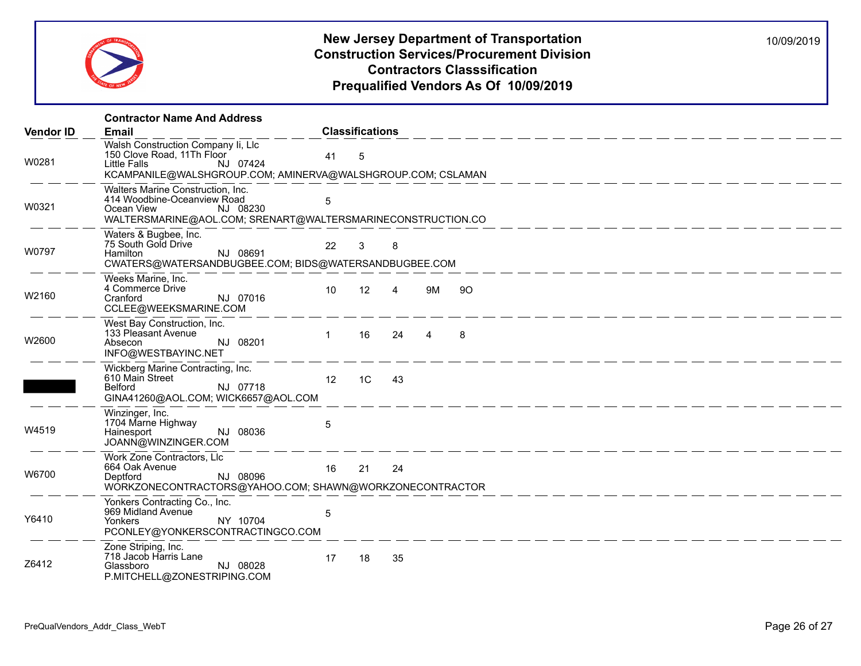

|                  | <b>Contractor Name And Address</b>                                                                                                                          |                 |                        |                |                |    |  |  |  |
|------------------|-------------------------------------------------------------------------------------------------------------------------------------------------------------|-----------------|------------------------|----------------|----------------|----|--|--|--|
| <b>Vendor ID</b> | Email                                                                                                                                                       |                 | <b>Classifications</b> |                |                |    |  |  |  |
| W0281            | Walsh Construction Company Ii, Llc<br>150 Clove Road, 11Th Floor<br>Little Falls<br>NJ 07424<br>KCAMPANILE@WALSHGROUP.COM; AMINERVA@WALSHGROUP.COM; CSLAMAN | 41              | 5                      |                |                |    |  |  |  |
| W0321            | Walters Marine Construction, Inc.<br>414 Woodbine-Oceanview Road<br>NJ 08230<br>Ocean View<br>WALTERSMARINE@AOL.COM; SRENART@WALTERSMARINECONSTRUCTION.CO   | 5               |                        |                |                |    |  |  |  |
| W0797            | Waters & Bugbee, Inc.<br>75 South Gold Drive<br>Hamilton<br>NJ 08691<br>CWATERS@WATERSANDBUGBEE.COM; BIDS@WATERSANDBUGBEE.COM                               | 22              | 3                      | 8              |                |    |  |  |  |
| W2160            | Weeks Marine, Inc.<br>4 Commerce Drive<br>NJ 07016<br>Cranford<br>CCLEE@WEEKSMARINE.COM                                                                     | 10 <sup>°</sup> | 12                     | $\overline{4}$ | 9M             | 90 |  |  |  |
| W2600            | West Bay Construction, Inc.<br>133 Pleasant Avenue<br>NJ 08201<br>Absecon<br>INFO@WESTBAYINC.NET                                                            | $\mathbf 1$     | 16                     | 24             | $\overline{4}$ | 8  |  |  |  |
|                  | Wickberg Marine Contracting, Inc.<br>610 Main Street<br>NJ 07718<br>Belford<br>GINA41260@AOL.COM; WICK6657@AOL.COM                                          | 12 <sup>2</sup> | 1C                     | 43             |                |    |  |  |  |
| W4519            | Winzinger, Inc.<br>1704 Marne Highway<br>NJ 08036<br>Hainesport<br>JOANN@WINZINGER.COM                                                                      | 5               |                        |                |                |    |  |  |  |
| W6700            | Work Zone Contractors, Llc<br>664 Oak Avenue<br>NJ 08096<br>Deptford<br>WORKZONECONTRACTORS@YAHOO.COM; SHAWN@WORKZONECONTRACTOR                             | 16              | 21                     | 24             |                |    |  |  |  |
| Y6410            | Yonkers Contracting Co., Inc.<br>969 Midland Avenue<br>NY 10704<br><b>Yonkers</b><br>PCONLEY@YONKERSCONTRACTINGCO.COM                                       | 5               |                        |                |                |    |  |  |  |
| Z6412            | Zone Striping, Inc.<br>718 Jacob Harris Lane<br>Glassboro<br>NJ 08028<br>P.MITCHELL@ZONESTRIPING.COM                                                        | 17              | 18                     | 35             |                |    |  |  |  |